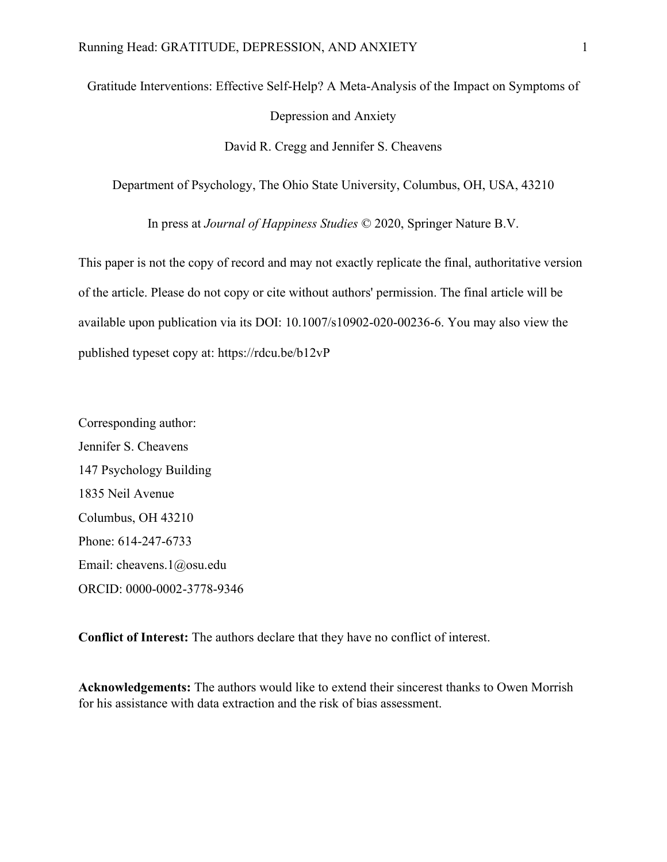# Gratitude Interventions: Effective Self-Help? A Meta-Analysis of the Impact on Symptoms of Depression and Anxiety David R. Cregg and Jennifer S. Cheavens

Department of Psychology, The Ohio State University, Columbus, OH, USA, 43210

In press at *Journal of Happiness Studies* © 2020, Springer Nature B.V.

This paper is not the copy of record and may not exactly replicate the final, authoritative version of the article. Please do not copy or cite without authors' permission. The final article will be available upon publication via its DOI: 10.1007/s10902-020-00236-6. You may also view the published typeset copy at: https://rdcu.be/b12vP

Corresponding author: Jennifer S. Cheavens 147 Psychology Building 1835 Neil Avenue Columbus, OH 43210 Phone: 614-247-6733 Email: cheavens.1@osu.edu ORCID: 0000-0002-3778-9346

**Conflict of Interest:** The authors declare that they have no conflict of interest.

**Acknowledgements:** The authors would like to extend their sincerest thanks to Owen Morrish for his assistance with data extraction and the risk of bias assessment.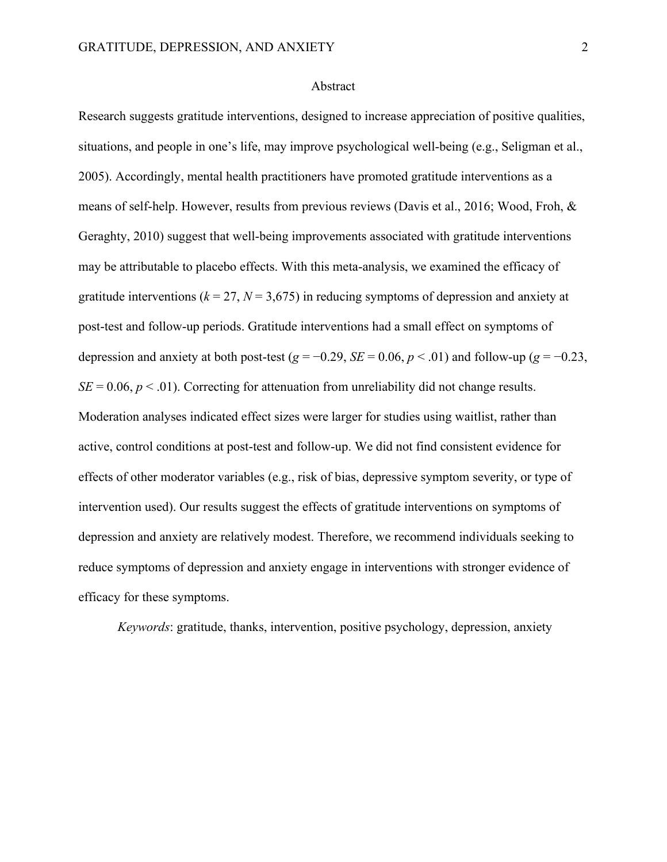#### Abstract

Research suggests gratitude interventions, designed to increase appreciation of positive qualities, situations, and people in one's life, may improve psychological well-being (e.g., Seligman et al., 2005). Accordingly, mental health practitioners have promoted gratitude interventions as a means of self-help. However, results from previous reviews (Davis et al., 2016; Wood, Froh, & Geraghty, 2010) suggest that well-being improvements associated with gratitude interventions may be attributable to placebo effects. With this meta-analysis, we examined the efficacy of gratitude interventions ( $k = 27$ ,  $N = 3,675$ ) in reducing symptoms of depression and anxiety at post-test and follow-up periods. Gratitude interventions had a small effect on symptoms of depression and anxiety at both post-test ( $g = -0.29$ ,  $SE = 0.06$ ,  $p < .01$ ) and follow-up ( $g = -0.23$ ,  $SE = 0.06$ ,  $p < .01$ ). Correcting for attenuation from unreliability did not change results. Moderation analyses indicated effect sizes were larger for studies using waitlist, rather than active, control conditions at post-test and follow-up. We did not find consistent evidence for effects of other moderator variables (e.g., risk of bias, depressive symptom severity, or type of intervention used). Our results suggest the effects of gratitude interventions on symptoms of depression and anxiety are relatively modest. Therefore, we recommend individuals seeking to reduce symptoms of depression and anxiety engage in interventions with stronger evidence of efficacy for these symptoms.

*Keywords*: gratitude, thanks, intervention, positive psychology, depression, anxiety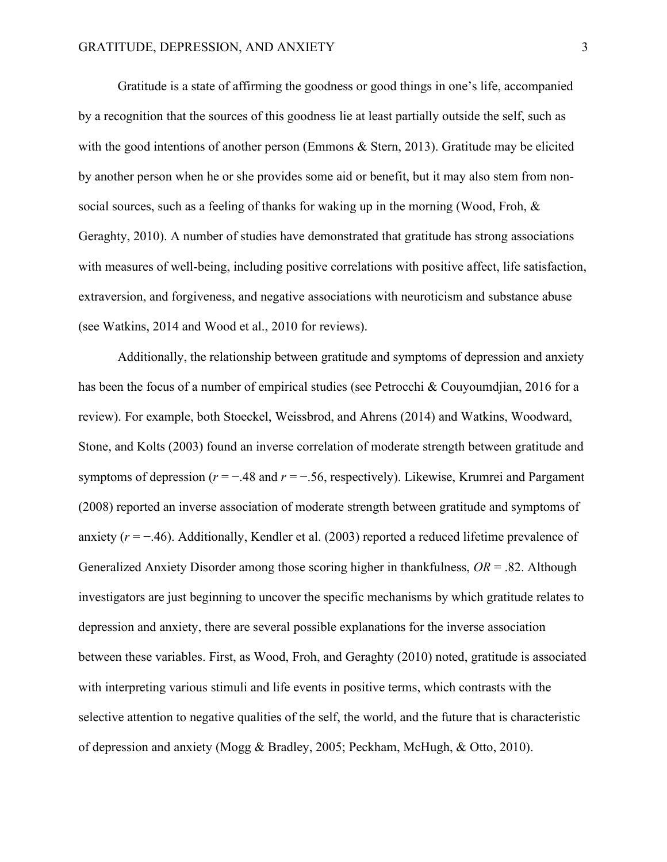Gratitude is a state of affirming the goodness or good things in one's life, accompanied by a recognition that the sources of this goodness lie at least partially outside the self, such as with the good intentions of another person (Emmons  $\&$  Stern, 2013). Gratitude may be elicited by another person when he or she provides some aid or benefit, but it may also stem from nonsocial sources, such as a feeling of thanks for waking up in the morning (Wood, Froh, & Geraghty, 2010). A number of studies have demonstrated that gratitude has strong associations with measures of well-being, including positive correlations with positive affect, life satisfaction, extraversion, and forgiveness, and negative associations with neuroticism and substance abuse (see Watkins, 2014 and Wood et al., 2010 for reviews).

Additionally, the relationship between gratitude and symptoms of depression and anxiety has been the focus of a number of empirical studies (see Petrocchi & Couyoumdjian, 2016 for a review). For example, both Stoeckel, Weissbrod, and Ahrens (2014) and Watkins, Woodward, Stone, and Kolts (2003) found an inverse correlation of moderate strength between gratitude and symptoms of depression (*r* = −.48 and *r* = −.56, respectively). Likewise, Krumrei and Pargament (2008) reported an inverse association of moderate strength between gratitude and symptoms of anxiety (*r* = −.46). Additionally, Kendler et al. (2003) reported a reduced lifetime prevalence of Generalized Anxiety Disorder among those scoring higher in thankfulness, *OR* = .82. Although investigators are just beginning to uncover the specific mechanisms by which gratitude relates to depression and anxiety, there are several possible explanations for the inverse association between these variables. First, as Wood, Froh, and Geraghty (2010) noted, gratitude is associated with interpreting various stimuli and life events in positive terms, which contrasts with the selective attention to negative qualities of the self, the world, and the future that is characteristic of depression and anxiety (Mogg & Bradley, 2005; Peckham, McHugh, & Otto, 2010).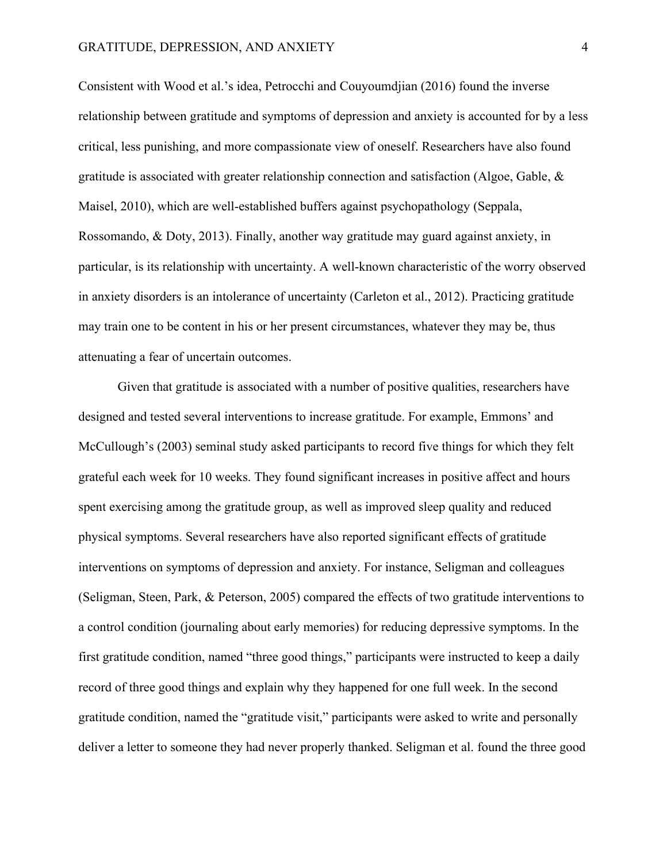Consistent with Wood et al.'s idea, Petrocchi and Couyoumdjian (2016) found the inverse relationship between gratitude and symptoms of depression and anxiety is accounted for by a less critical, less punishing, and more compassionate view of oneself. Researchers have also found gratitude is associated with greater relationship connection and satisfaction (Algoe, Gable, & Maisel, 2010), which are well-established buffers against psychopathology (Seppala, Rossomando, & Doty, 2013). Finally, another way gratitude may guard against anxiety, in particular, is its relationship with uncertainty. A well-known characteristic of the worry observed in anxiety disorders is an intolerance of uncertainty (Carleton et al., 2012). Practicing gratitude may train one to be content in his or her present circumstances, whatever they may be, thus attenuating a fear of uncertain outcomes.

Given that gratitude is associated with a number of positive qualities, researchers have designed and tested several interventions to increase gratitude. For example, Emmons' and McCullough's (2003) seminal study asked participants to record five things for which they felt grateful each week for 10 weeks. They found significant increases in positive affect and hours spent exercising among the gratitude group, as well as improved sleep quality and reduced physical symptoms. Several researchers have also reported significant effects of gratitude interventions on symptoms of depression and anxiety. For instance, Seligman and colleagues (Seligman, Steen, Park, & Peterson, 2005) compared the effects of two gratitude interventions to a control condition (journaling about early memories) for reducing depressive symptoms. In the first gratitude condition, named "three good things," participants were instructed to keep a daily record of three good things and explain why they happened for one full week. In the second gratitude condition, named the "gratitude visit," participants were asked to write and personally deliver a letter to someone they had never properly thanked. Seligman et al. found the three good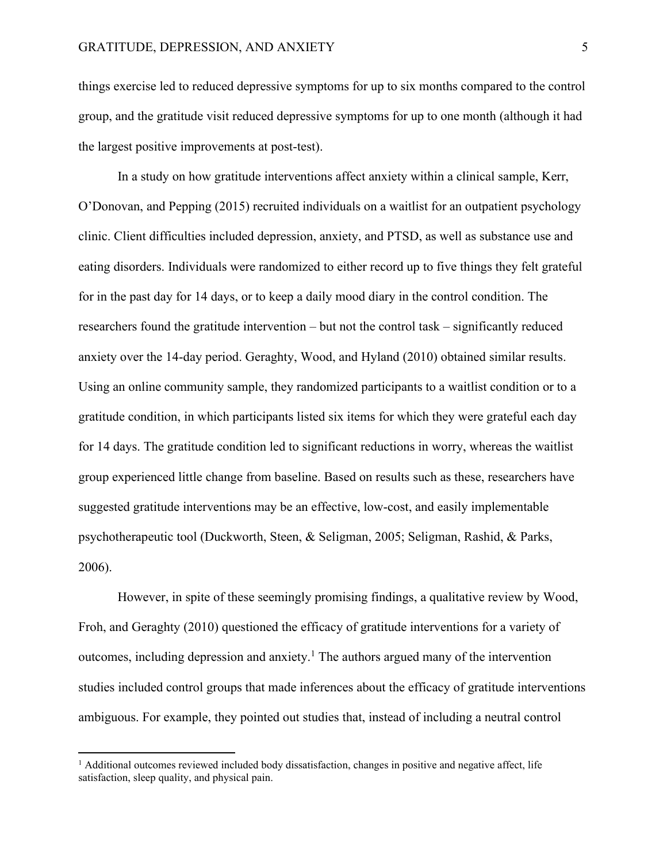things exercise led to reduced depressive symptoms for up to six months compared to the control group, and the gratitude visit reduced depressive symptoms for up to one month (although it had the largest positive improvements at post-test).

In a study on how gratitude interventions affect anxiety within a clinical sample, Kerr, O'Donovan, and Pepping (2015) recruited individuals on a waitlist for an outpatient psychology clinic. Client difficulties included depression, anxiety, and PTSD, as well as substance use and eating disorders. Individuals were randomized to either record up to five things they felt grateful for in the past day for 14 days, or to keep a daily mood diary in the control condition. The researchers found the gratitude intervention – but not the control task – significantly reduced anxiety over the 14-day period. Geraghty, Wood, and Hyland (2010) obtained similar results. Using an online community sample, they randomized participants to a waitlist condition or to a gratitude condition, in which participants listed six items for which they were grateful each day for 14 days. The gratitude condition led to significant reductions in worry, whereas the waitlist group experienced little change from baseline. Based on results such as these, researchers have suggested gratitude interventions may be an effective, low-cost, and easily implementable psychotherapeutic tool (Duckworth, Steen, & Seligman, 2005; Seligman, Rashid, & Parks, 2006).

However, in spite of these seemingly promising findings, a qualitative review by Wood, Froh, and Geraghty (2010) questioned the efficacy of gratitude interventions for a variety of outcomes, including depression and anxiety. <sup>1</sup> The authors argued many of the intervention studies included control groups that made inferences about the efficacy of gratitude interventions ambiguous. For example, they pointed out studies that, instead of including a neutral control

 $<sup>1</sup>$  Additional outcomes reviewed included body dissatisfaction, changes in positive and negative affect, life</sup> satisfaction, sleep quality, and physical pain.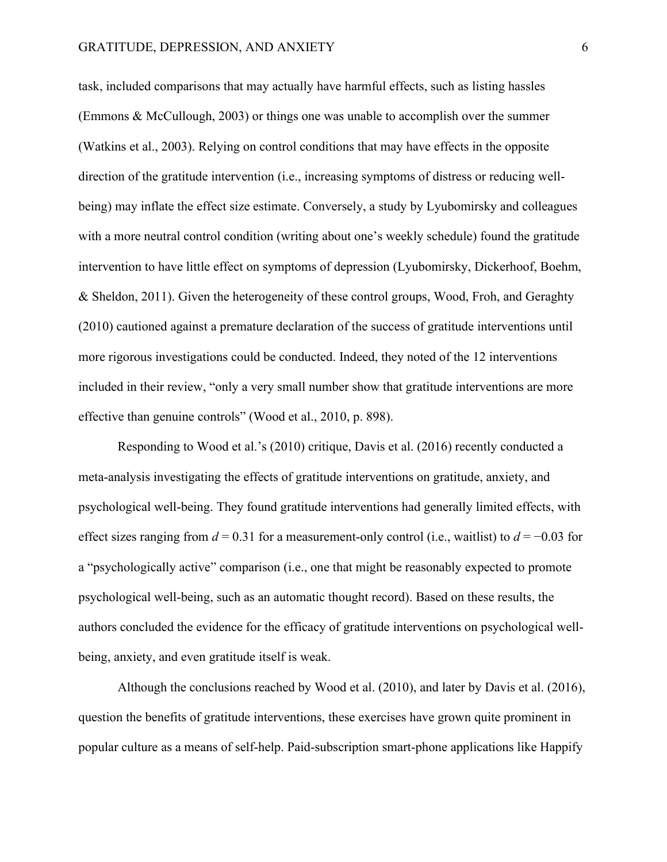task, included comparisons that may actually have harmful effects, such as listing hassles (Emmons & McCullough, 2003) or things one was unable to accomplish over the summer (Watkins et al., 2003). Relying on control conditions that may have effects in the opposite direction of the gratitude intervention (i.e., increasing symptoms of distress or reducing wellbeing) may inflate the effect size estimate. Conversely, a study by Lyubomirsky and colleagues with a more neutral control condition (writing about one's weekly schedule) found the gratitude intervention to have little effect on symptoms of depression (Lyubomirsky, Dickerhoof, Boehm, & Sheldon, 2011). Given the heterogeneity of these control groups, Wood, Froh, and Geraghty (2010) cautioned against a premature declaration of the success of gratitude interventions until more rigorous investigations could be conducted. Indeed, they noted of the 12 interventions included in their review, "only a very small number show that gratitude interventions are more effective than genuine controls" (Wood et al., 2010, p. 898).

Responding to Wood et al.'s (2010) critique, Davis et al. (2016) recently conducted a meta-analysis investigating the effects of gratitude interventions on gratitude, anxiety, and psychological well-being. They found gratitude interventions had generally limited effects, with effect sizes ranging from *d* = 0.31 for a measurement-only control (i.e., waitlist) to *d* = −0.03 for a "psychologically active" comparison (i.e., one that might be reasonably expected to promote psychological well-being, such as an automatic thought record). Based on these results, the authors concluded the evidence for the efficacy of gratitude interventions on psychological wellbeing, anxiety, and even gratitude itself is weak.

Although the conclusions reached by Wood et al. (2010), and later by Davis et al. (2016), question the benefits of gratitude interventions, these exercises have grown quite prominent in popular culture as a means of self-help. Paid-subscription smart-phone applications like Happify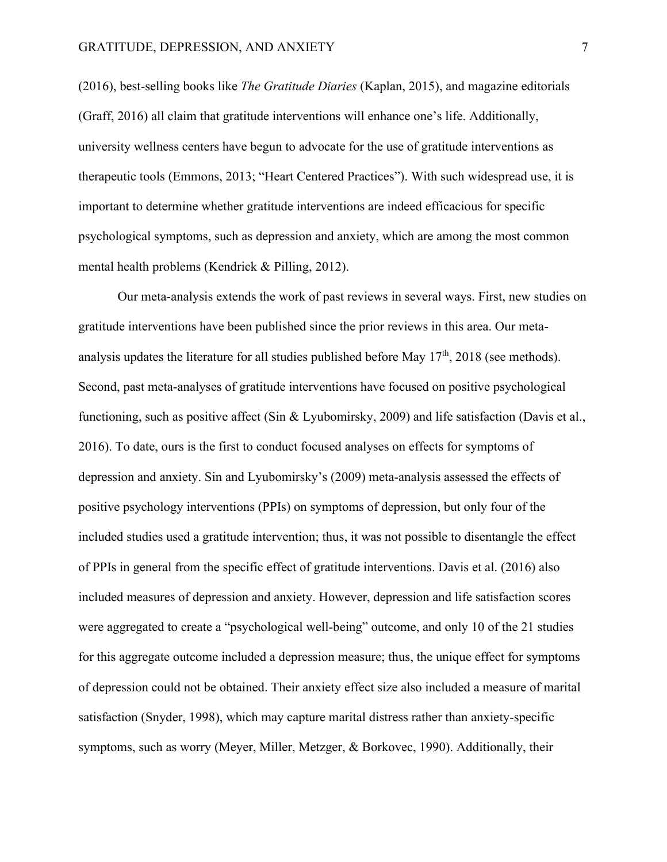(2016), best-selling books like *The Gratitude Diaries* (Kaplan, 2015), and magazine editorials (Graff, 2016) all claim that gratitude interventions will enhance one's life. Additionally, university wellness centers have begun to advocate for the use of gratitude interventions as therapeutic tools (Emmons, 2013; "Heart Centered Practices"). With such widespread use, it is important to determine whether gratitude interventions are indeed efficacious for specific psychological symptoms, such as depression and anxiety, which are among the most common mental health problems (Kendrick & Pilling, 2012).

Our meta-analysis extends the work of past reviews in several ways. First, new studies on gratitude interventions have been published since the prior reviews in this area. Our metaanalysis updates the literature for all studies published before May  $17<sup>th</sup>$ , 2018 (see methods). Second, past meta-analyses of gratitude interventions have focused on positive psychological functioning, such as positive affect (Sin & Lyubomirsky, 2009) and life satisfaction (Davis et al., 2016). To date, ours is the first to conduct focused analyses on effects for symptoms of depression and anxiety. Sin and Lyubomirsky's (2009) meta-analysis assessed the effects of positive psychology interventions (PPIs) on symptoms of depression, but only four of the included studies used a gratitude intervention; thus, it was not possible to disentangle the effect of PPIs in general from the specific effect of gratitude interventions. Davis et al. (2016) also included measures of depression and anxiety. However, depression and life satisfaction scores were aggregated to create a "psychological well-being" outcome, and only 10 of the 21 studies for this aggregate outcome included a depression measure; thus, the unique effect for symptoms of depression could not be obtained. Their anxiety effect size also included a measure of marital satisfaction (Snyder, 1998), which may capture marital distress rather than anxiety-specific symptoms, such as worry (Meyer, Miller, Metzger, & Borkovec, 1990). Additionally, their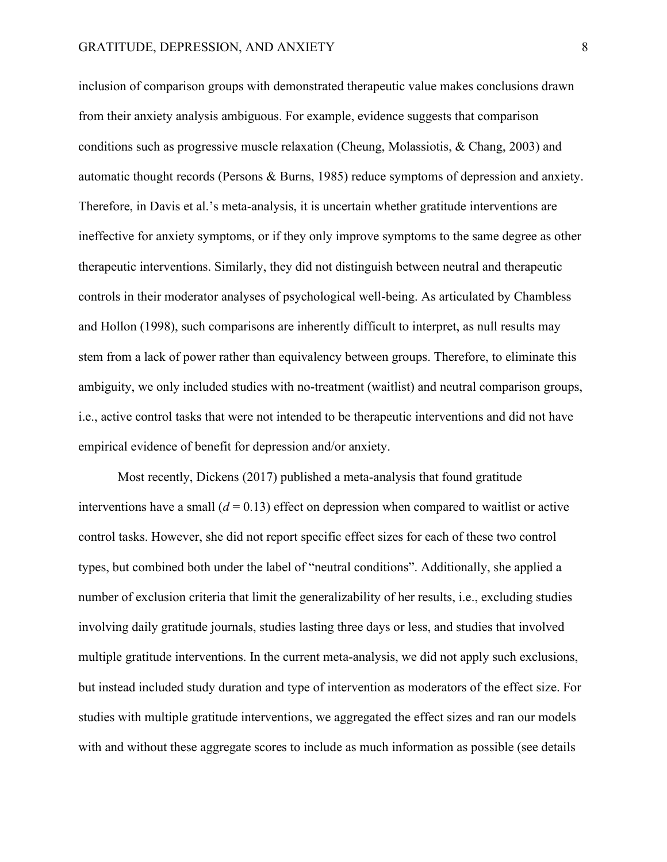inclusion of comparison groups with demonstrated therapeutic value makes conclusions drawn from their anxiety analysis ambiguous. For example, evidence suggests that comparison conditions such as progressive muscle relaxation (Cheung, Molassiotis, & Chang, 2003) and automatic thought records (Persons & Burns, 1985) reduce symptoms of depression and anxiety. Therefore, in Davis et al.'s meta-analysis, it is uncertain whether gratitude interventions are ineffective for anxiety symptoms, or if they only improve symptoms to the same degree as other therapeutic interventions. Similarly, they did not distinguish between neutral and therapeutic controls in their moderator analyses of psychological well-being. As articulated by Chambless and Hollon (1998), such comparisons are inherently difficult to interpret, as null results may stem from a lack of power rather than equivalency between groups. Therefore, to eliminate this ambiguity, we only included studies with no-treatment (waitlist) and neutral comparison groups, i.e., active control tasks that were not intended to be therapeutic interventions and did not have empirical evidence of benefit for depression and/or anxiety.

Most recently, Dickens (2017) published a meta-analysis that found gratitude interventions have a small  $(d = 0.13)$  effect on depression when compared to waitlist or active control tasks. However, she did not report specific effect sizes for each of these two control types, but combined both under the label of "neutral conditions". Additionally, she applied a number of exclusion criteria that limit the generalizability of her results, i.e., excluding studies involving daily gratitude journals, studies lasting three days or less, and studies that involved multiple gratitude interventions. In the current meta-analysis, we did not apply such exclusions, but instead included study duration and type of intervention as moderators of the effect size. For studies with multiple gratitude interventions, we aggregated the effect sizes and ran our models with and without these aggregate scores to include as much information as possible (see details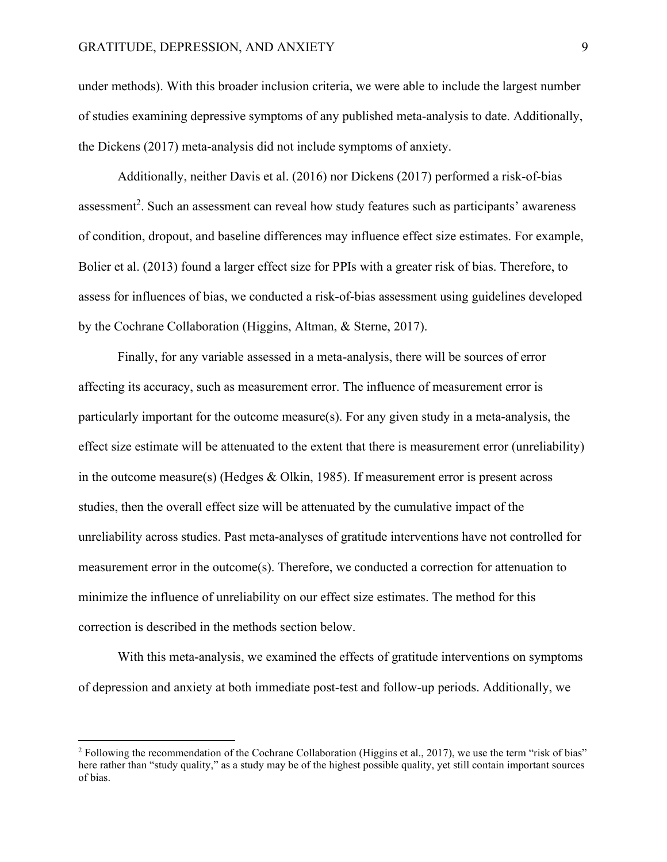under methods). With this broader inclusion criteria, we were able to include the largest number of studies examining depressive symptoms of any published meta-analysis to date. Additionally, the Dickens (2017) meta-analysis did not include symptoms of anxiety.

Additionally, neither Davis et al. (2016) nor Dickens (2017) performed a risk-of-bias assessment<sup>2</sup>. Such an assessment can reveal how study features such as participants' awareness of condition, dropout, and baseline differences may influence effect size estimates. For example, Bolier et al. (2013) found a larger effect size for PPIs with a greater risk of bias. Therefore, to assess for influences of bias, we conducted a risk-of-bias assessment using guidelines developed by the Cochrane Collaboration (Higgins, Altman, & Sterne, 2017).

Finally, for any variable assessed in a meta-analysis, there will be sources of error affecting its accuracy, such as measurement error. The influence of measurement error is particularly important for the outcome measure(s). For any given study in a meta-analysis, the effect size estimate will be attenuated to the extent that there is measurement error (unreliability) in the outcome measure(s) (Hedges & Olkin, 1985). If measurement error is present across studies, then the overall effect size will be attenuated by the cumulative impact of the unreliability across studies. Past meta-analyses of gratitude interventions have not controlled for measurement error in the outcome(s). Therefore, we conducted a correction for attenuation to minimize the influence of unreliability on our effect size estimates. The method for this correction is described in the methods section below.

With this meta-analysis, we examined the effects of gratitude interventions on symptoms of depression and anxiety at both immediate post-test and follow-up periods. Additionally, we

<sup>&</sup>lt;sup>2</sup> Following the recommendation of the Cochrane Collaboration (Higgins et al., 2017), we use the term "risk of bias" here rather than "study quality," as a study may be of the highest possible quality, yet still contain important sources of bias.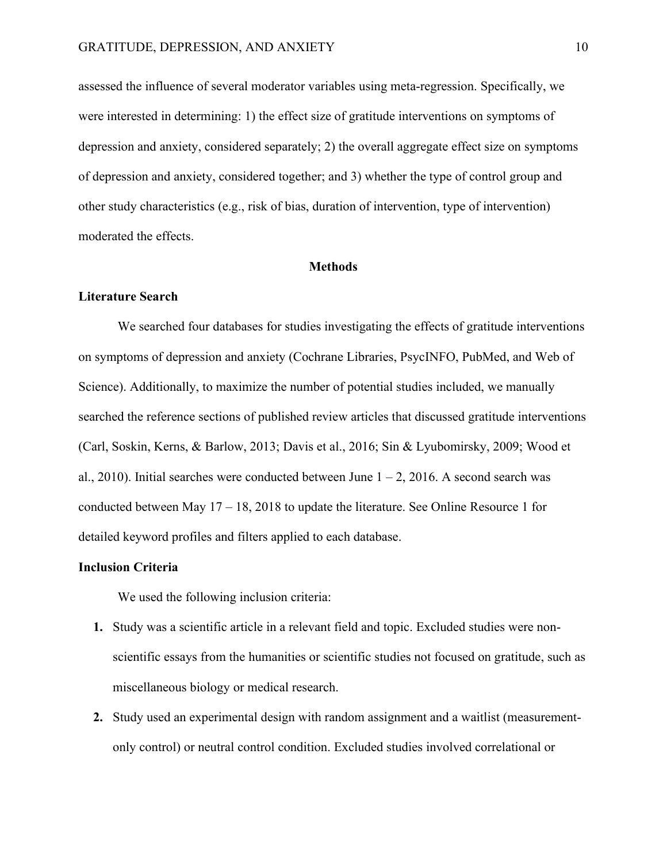assessed the influence of several moderator variables using meta-regression. Specifically, we were interested in determining: 1) the effect size of gratitude interventions on symptoms of depression and anxiety, considered separately; 2) the overall aggregate effect size on symptoms of depression and anxiety, considered together; and 3) whether the type of control group and other study characteristics (e.g., risk of bias, duration of intervention, type of intervention) moderated the effects.

#### **Methods**

#### **Literature Search**

We searched four databases for studies investigating the effects of gratitude interventions on symptoms of depression and anxiety (Cochrane Libraries, PsycINFO, PubMed, and Web of Science). Additionally, to maximize the number of potential studies included, we manually searched the reference sections of published review articles that discussed gratitude interventions (Carl, Soskin, Kerns, & Barlow, 2013; Davis et al., 2016; Sin & Lyubomirsky, 2009; Wood et al., 2010). Initial searches were conducted between June  $1 - 2$ , 2016. A second search was conducted between May 17 – 18, 2018 to update the literature. See Online Resource 1 for detailed keyword profiles and filters applied to each database.

#### **Inclusion Criteria**

We used the following inclusion criteria:

- **1.** Study was a scientific article in a relevant field and topic. Excluded studies were nonscientific essays from the humanities or scientific studies not focused on gratitude, such as miscellaneous biology or medical research.
- **2.** Study used an experimental design with random assignment and a waitlist (measurementonly control) or neutral control condition. Excluded studies involved correlational or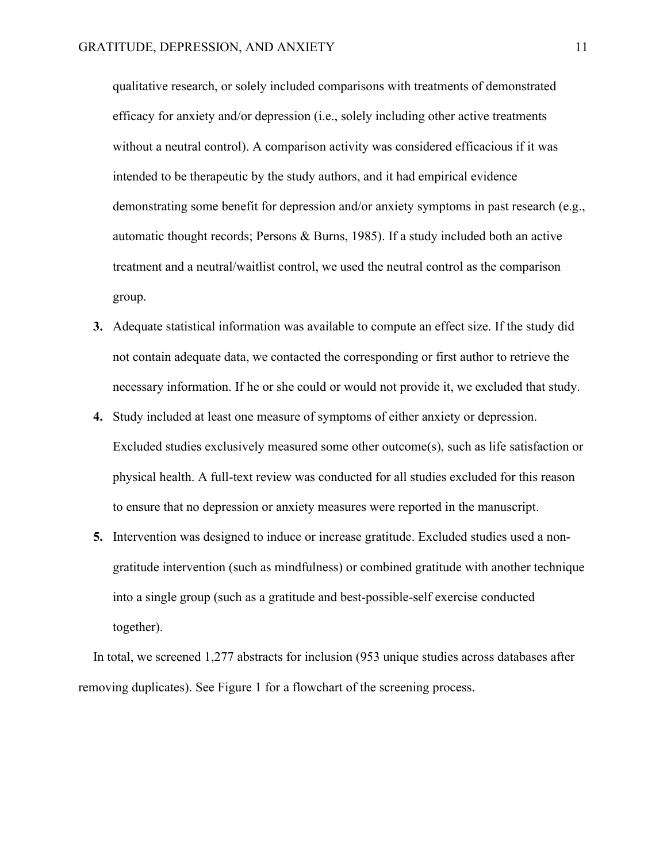qualitative research, or solely included comparisons with treatments of demonstrated efficacy for anxiety and/or depression (i.e., solely including other active treatments without a neutral control). A comparison activity was considered efficacious if it was intended to be therapeutic by the study authors, and it had empirical evidence demonstrating some benefit for depression and/or anxiety symptoms in past research (e.g., automatic thought records; Persons & Burns, 1985). If a study included both an active treatment and a neutral/waitlist control, we used the neutral control as the comparison group.

- **3.** Adequate statistical information was available to compute an effect size. If the study did not contain adequate data, we contacted the corresponding or first author to retrieve the necessary information. If he or she could or would not provide it, we excluded that study.
- **4.** Study included at least one measure of symptoms of either anxiety or depression. Excluded studies exclusively measured some other outcome(s), such as life satisfaction or physical health. A full-text review was conducted for all studies excluded for this reason to ensure that no depression or anxiety measures were reported in the manuscript.
- **5.** Intervention was designed to induce or increase gratitude. Excluded studies used a nongratitude intervention (such as mindfulness) or combined gratitude with another technique into a single group (such as a gratitude and best-possible-self exercise conducted together).

In total, we screened 1,277 abstracts for inclusion (953 unique studies across databases after removing duplicates). See Figure 1 for a flowchart of the screening process.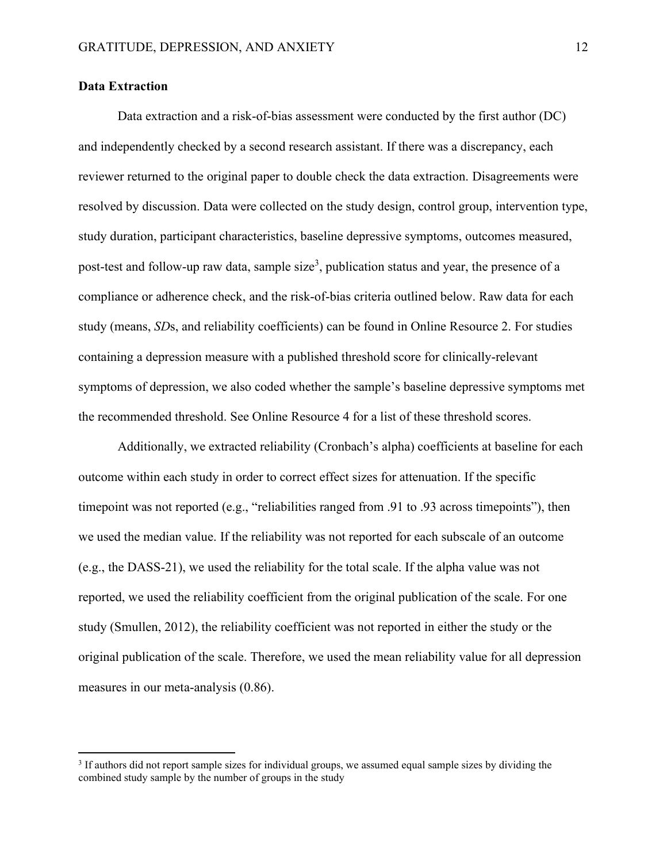#### **Data Extraction**

Data extraction and a risk-of-bias assessment were conducted by the first author (DC) and independently checked by a second research assistant. If there was a discrepancy, each reviewer returned to the original paper to double check the data extraction. Disagreements were resolved by discussion. Data were collected on the study design, control group, intervention type, study duration, participant characteristics, baseline depressive symptoms, outcomes measured, post-test and follow-up raw data, sample size<sup>3</sup>, publication status and year, the presence of a compliance or adherence check, and the risk-of-bias criteria outlined below. Raw data for each study (means, *SD*s, and reliability coefficients) can be found in Online Resource 2. For studies containing a depression measure with a published threshold score for clinically-relevant symptoms of depression, we also coded whether the sample's baseline depressive symptoms met the recommended threshold. See Online Resource 4 for a list of these threshold scores.

Additionally, we extracted reliability (Cronbach's alpha) coefficients at baseline for each outcome within each study in order to correct effect sizes for attenuation. If the specific timepoint was not reported (e.g., "reliabilities ranged from .91 to .93 across timepoints"), then we used the median value. If the reliability was not reported for each subscale of an outcome (e.g., the DASS-21), we used the reliability for the total scale. If the alpha value was not reported, we used the reliability coefficient from the original publication of the scale. For one study (Smullen, 2012), the reliability coefficient was not reported in either the study or the original publication of the scale. Therefore, we used the mean reliability value for all depression measures in our meta-analysis (0.86).

<sup>&</sup>lt;sup>3</sup> If authors did not report sample sizes for individual groups, we assumed equal sample sizes by dividing the combined study sample by the number of groups in the study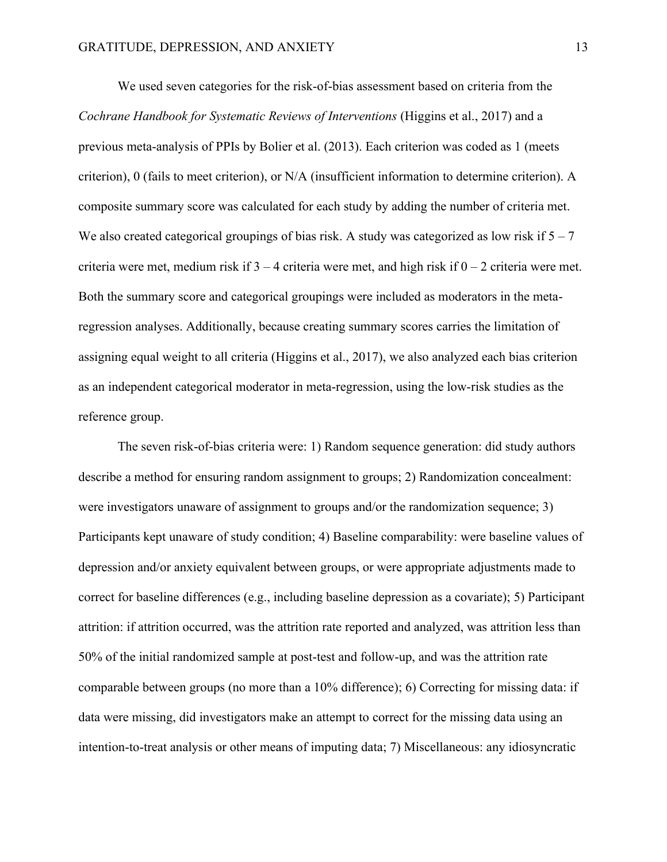We used seven categories for the risk-of-bias assessment based on criteria from the *Cochrane Handbook for Systematic Reviews of Interventions* (Higgins et al., 2017) and a previous meta-analysis of PPIs by Bolier et al. (2013). Each criterion was coded as 1 (meets criterion), 0 (fails to meet criterion), or N/A (insufficient information to determine criterion). A composite summary score was calculated for each study by adding the number of criteria met. We also created categorical groupings of bias risk. A study was categorized as low risk if  $5 - 7$ criteria were met, medium risk if  $3 - 4$  criteria were met, and high risk if  $0 - 2$  criteria were met. Both the summary score and categorical groupings were included as moderators in the metaregression analyses. Additionally, because creating summary scores carries the limitation of assigning equal weight to all criteria (Higgins et al., 2017), we also analyzed each bias criterion as an independent categorical moderator in meta-regression, using the low-risk studies as the reference group.

The seven risk-of-bias criteria were: 1) Random sequence generation: did study authors describe a method for ensuring random assignment to groups; 2) Randomization concealment: were investigators unaware of assignment to groups and/or the randomization sequence; 3) Participants kept unaware of study condition; 4) Baseline comparability: were baseline values of depression and/or anxiety equivalent between groups, or were appropriate adjustments made to correct for baseline differences (e.g., including baseline depression as a covariate); 5) Participant attrition: if attrition occurred, was the attrition rate reported and analyzed, was attrition less than 50% of the initial randomized sample at post-test and follow-up, and was the attrition rate comparable between groups (no more than a 10% difference); 6) Correcting for missing data: if data were missing, did investigators make an attempt to correct for the missing data using an intention-to-treat analysis or other means of imputing data; 7) Miscellaneous: any idiosyncratic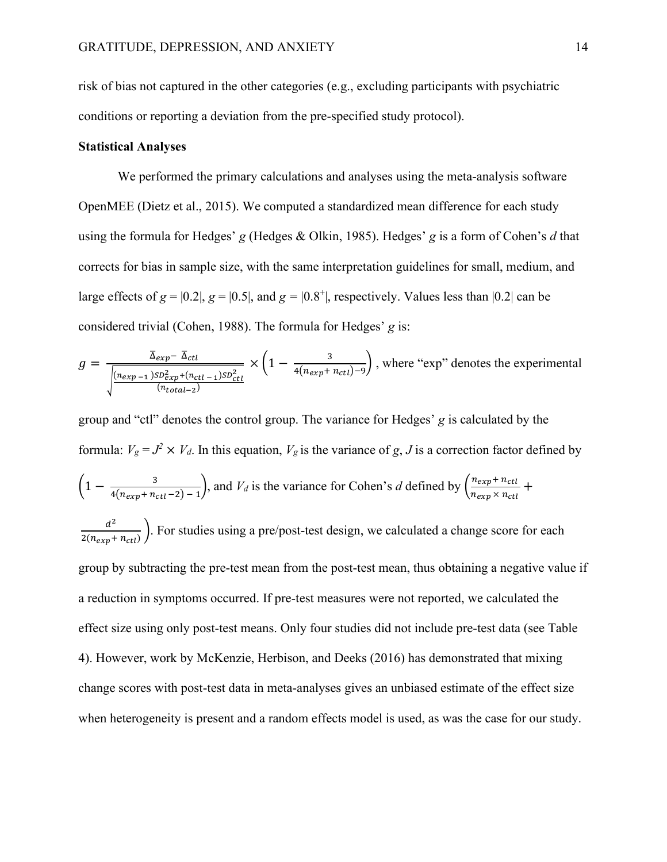risk of bias not captured in the other categories (e.g., excluding participants with psychiatric conditions or reporting a deviation from the pre-specified study protocol).

#### **Statistical Analyses**

We performed the primary calculations and analyses using the meta-analysis software OpenMEE (Dietz et al., 2015). We computed a standardized mean difference for each study using the formula for Hedges' *g* (Hedges & Olkin, 1985). Hedges' *g* is a form of Cohen's *d* that corrects for bias in sample size, with the same interpretation guidelines for small, medium, and large effects of  $g = |0.2|$ ,  $g = |0.5|$ , and  $g = |0.8^{\circ}|$ , respectively. Values less than  $|0.2|$  can be considered trivial (Cohen, 1988). The formula for Hedges' *g* is:

$$
g = \frac{\overline{\Delta_{exp} - \Delta_{ctl}}}{\sqrt{\frac{(n_{exp} - 1)SD_{exp}^2 + (n_{ctl - 1})SD_{ctl}^2}{(n_{total - 2})}} \times \left(1 - \frac{3}{4(n_{exp} + n_{ctl}) - 9}\right), \text{ where "exp" denotes the experimental}
$$

group and "ctl" denotes the control group. The variance for Hedges' *g* is calculated by the formula:  $V_g = J^2 \times V_d$ . In this equation,  $V_g$  is the variance of *g*, *J* is a correction factor defined by  $\left(1-\frac{3}{4(n+1)^2}\right)$  $\frac{3}{4(n_{exp}+n_{ct}l-2)-1}$ , and  $V_d$  is the variance for Cohen's *d* defined by  $\left(\frac{n_{exp}+n_{ct}l}{n_{exp} \times n_{ct}l}\right)$  $\frac{n_{exp}+n_{ctl}}{n_{exp} \times n_{ctl}} +$  $d^2$  $\frac{a}{2(n_{exp}+n_{ctl})}$ . For studies using a pre/post-test design, we calculated a change score for each group by subtracting the pre-test mean from the post-test mean, thus obtaining a negative value if a reduction in symptoms occurred. If pre-test measures were not reported, we calculated the effect size using only post-test means. Only four studies did not include pre-test data (see Table 4). However, work by McKenzie, Herbison, and Deeks (2016) has demonstrated that mixing change scores with post-test data in meta-analyses gives an unbiased estimate of the effect size when heterogeneity is present and a random effects model is used, as was the case for our study.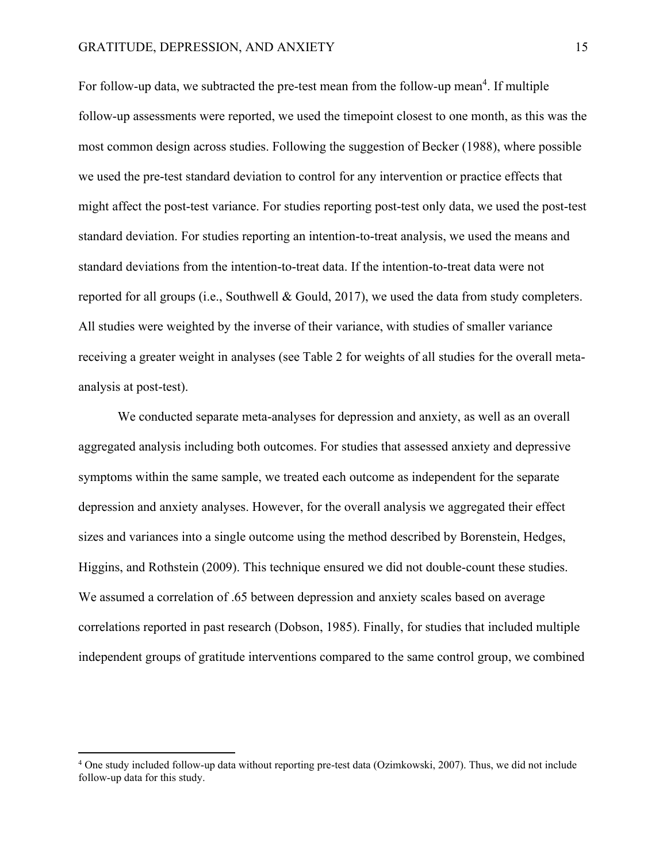For follow-up data, we subtracted the pre-test mean from the follow-up mean<sup>4</sup>. If multiple follow-up assessments were reported, we used the timepoint closest to one month, as this was the most common design across studies. Following the suggestion of Becker (1988), where possible we used the pre-test standard deviation to control for any intervention or practice effects that might affect the post-test variance. For studies reporting post-test only data, we used the post-test standard deviation. For studies reporting an intention-to-treat analysis, we used the means and standard deviations from the intention-to-treat data. If the intention-to-treat data were not reported for all groups (i.e., Southwell & Gould, 2017), we used the data from study completers. All studies were weighted by the inverse of their variance, with studies of smaller variance receiving a greater weight in analyses (see Table 2 for weights of all studies for the overall metaanalysis at post-test).

We conducted separate meta-analyses for depression and anxiety, as well as an overall aggregated analysis including both outcomes. For studies that assessed anxiety and depressive symptoms within the same sample, we treated each outcome as independent for the separate depression and anxiety analyses. However, for the overall analysis we aggregated their effect sizes and variances into a single outcome using the method described by Borenstein, Hedges, Higgins, and Rothstein (2009). This technique ensured we did not double-count these studies. We assumed a correlation of .65 between depression and anxiety scales based on average correlations reported in past research (Dobson, 1985). Finally, for studies that included multiple independent groups of gratitude interventions compared to the same control group, we combined

<sup>4</sup> One study included follow-up data without reporting pre-test data (Ozimkowski, 2007). Thus, we did not include follow-up data for this study.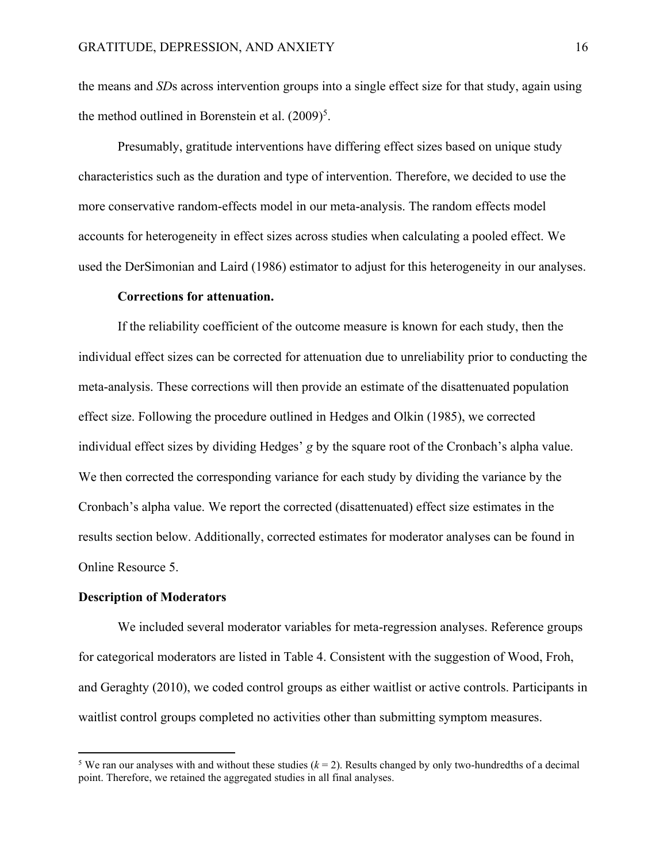the means and *SD*s across intervention groups into a single effect size for that study, again using the method outlined in Borenstein et al.  $(2009)^5$ .

Presumably, gratitude interventions have differing effect sizes based on unique study characteristics such as the duration and type of intervention. Therefore, we decided to use the more conservative random-effects model in our meta-analysis. The random effects model accounts for heterogeneity in effect sizes across studies when calculating a pooled effect. We used the DerSimonian and Laird (1986) estimator to adjust for this heterogeneity in our analyses.

#### **Corrections for attenuation.**

If the reliability coefficient of the outcome measure is known for each study, then the individual effect sizes can be corrected for attenuation due to unreliability prior to conducting the meta-analysis. These corrections will then provide an estimate of the disattenuated population effect size. Following the procedure outlined in Hedges and Olkin (1985), we corrected individual effect sizes by dividing Hedges' *g* by the square root of the Cronbach's alpha value. We then corrected the corresponding variance for each study by dividing the variance by the Cronbach's alpha value. We report the corrected (disattenuated) effect size estimates in the results section below. Additionally, corrected estimates for moderator analyses can be found in Online Resource 5.

#### **Description of Moderators**

We included several moderator variables for meta-regression analyses. Reference groups for categorical moderators are listed in Table 4. Consistent with the suggestion of Wood, Froh, and Geraghty (2010), we coded control groups as either waitlist or active controls. Participants in waitlist control groups completed no activities other than submitting symptom measures.

<sup>&</sup>lt;sup>5</sup> We ran our analyses with and without these studies  $(k = 2)$ . Results changed by only two-hundredths of a decimal point. Therefore, we retained the aggregated studies in all final analyses.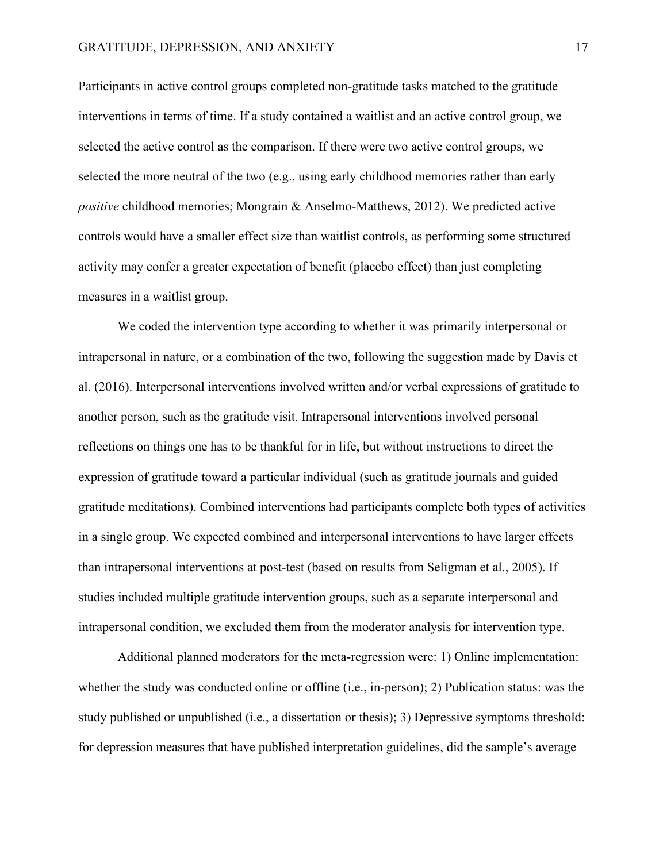Participants in active control groups completed non-gratitude tasks matched to the gratitude interventions in terms of time. If a study contained a waitlist and an active control group, we selected the active control as the comparison. If there were two active control groups, we selected the more neutral of the two (e.g., using early childhood memories rather than early *positive* childhood memories; Mongrain & Anselmo-Matthews, 2012). We predicted active controls would have a smaller effect size than waitlist controls, as performing some structured activity may confer a greater expectation of benefit (placebo effect) than just completing measures in a waitlist group.

We coded the intervention type according to whether it was primarily interpersonal or intrapersonal in nature, or a combination of the two, following the suggestion made by Davis et al. (2016). Interpersonal interventions involved written and/or verbal expressions of gratitude to another person, such as the gratitude visit. Intrapersonal interventions involved personal reflections on things one has to be thankful for in life, but without instructions to direct the expression of gratitude toward a particular individual (such as gratitude journals and guided gratitude meditations). Combined interventions had participants complete both types of activities in a single group. We expected combined and interpersonal interventions to have larger effects than intrapersonal interventions at post-test (based on results from Seligman et al., 2005). If studies included multiple gratitude intervention groups, such as a separate interpersonal and intrapersonal condition, we excluded them from the moderator analysis for intervention type.

Additional planned moderators for the meta-regression were: 1) Online implementation: whether the study was conducted online or offline (i.e., in-person); 2) Publication status: was the study published or unpublished (i.e., a dissertation or thesis); 3) Depressive symptoms threshold: for depression measures that have published interpretation guidelines, did the sample's average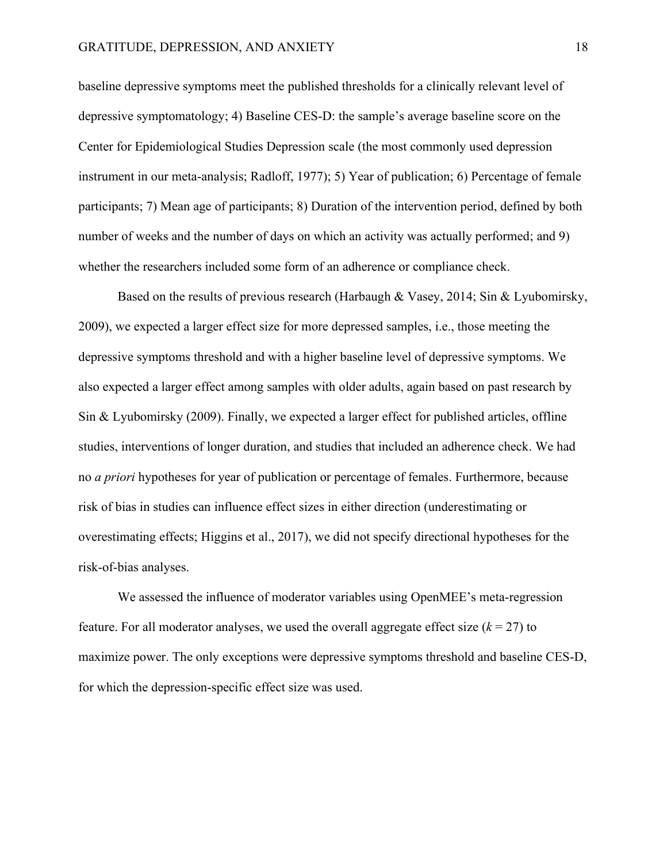baseline depressive symptoms meet the published thresholds for a clinically relevant level of depressive symptomatology; 4) Baseline CES-D: the sample's average baseline score on the Center for Epidemiological Studies Depression scale (the most commonly used depression instrument in our meta-analysis; Radloff, 1977); 5) Year of publication; 6) Percentage of female participants; 7) Mean age of participants; 8) Duration of the intervention period, defined by both number of weeks and the number of days on which an activity was actually performed; and 9) whether the researchers included some form of an adherence or compliance check.

Based on the results of previous research (Harbaugh & Vasey, 2014; Sin & Lyubomirsky, 2009), we expected a larger effect size for more depressed samples, i.e., those meeting the depressive symptoms threshold and with a higher baseline level of depressive symptoms. We also expected a larger effect among samples with older adults, again based on past research by Sin & Lyubomirsky (2009). Finally, we expected a larger effect for published articles, offline studies, interventions of longer duration, and studies that included an adherence check. We had no *a priori* hypotheses for year of publication or percentage of females. Furthermore, because risk of bias in studies can influence effect sizes in either direction (underestimating or overestimating effects; Higgins et al., 2017), we did not specify directional hypotheses for the risk-of-bias analyses.

We assessed the influence of moderator variables using OpenMEE's meta-regression feature. For all moderator analyses, we used the overall aggregate effect size  $(k = 27)$  to maximize power. The only exceptions were depressive symptoms threshold and baseline CES-D, for which the depression-specific effect size was used.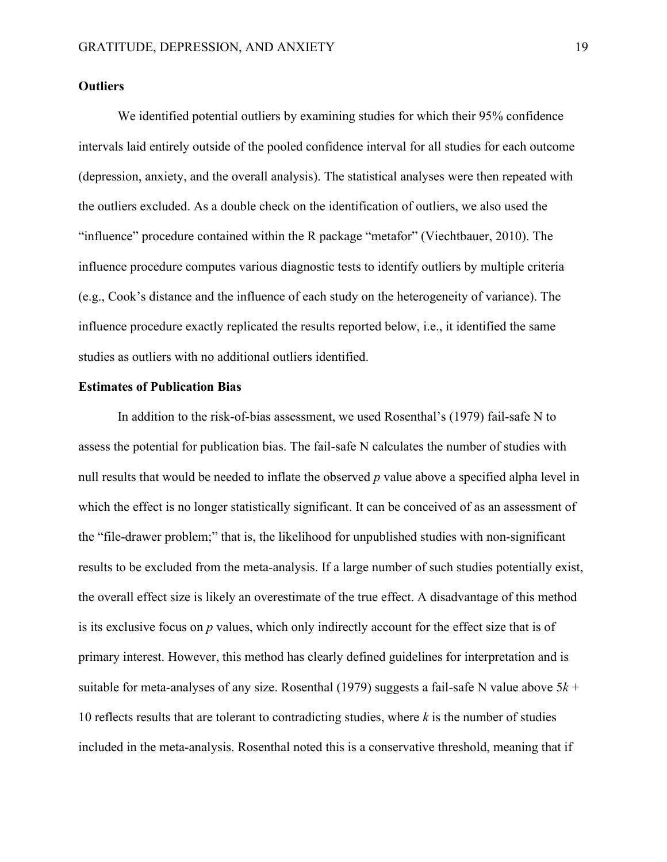#### **Outliers**

We identified potential outliers by examining studies for which their 95% confidence intervals laid entirely outside of the pooled confidence interval for all studies for each outcome (depression, anxiety, and the overall analysis). The statistical analyses were then repeated with the outliers excluded. As a double check on the identification of outliers, we also used the "influence" procedure contained within the R package "metafor" (Viechtbauer, 2010). The influence procedure computes various diagnostic tests to identify outliers by multiple criteria (e.g., Cook's distance and the influence of each study on the heterogeneity of variance). The influence procedure exactly replicated the results reported below, i.e., it identified the same studies as outliers with no additional outliers identified.

#### **Estimates of Publication Bias**

In addition to the risk-of-bias assessment, we used Rosenthal's (1979) fail-safe N to assess the potential for publication bias. The fail-safe N calculates the number of studies with null results that would be needed to inflate the observed *p* value above a specified alpha level in which the effect is no longer statistically significant. It can be conceived of as an assessment of the "file-drawer problem;" that is, the likelihood for unpublished studies with non-significant results to be excluded from the meta-analysis. If a large number of such studies potentially exist, the overall effect size is likely an overestimate of the true effect. A disadvantage of this method is its exclusive focus on *p* values, which only indirectly account for the effect size that is of primary interest. However, this method has clearly defined guidelines for interpretation and is suitable for meta-analyses of any size. Rosenthal (1979) suggests a fail-safe N value above 5*k* + 10 reflects results that are tolerant to contradicting studies, where *k* is the number of studies included in the meta-analysis. Rosenthal noted this is a conservative threshold, meaning that if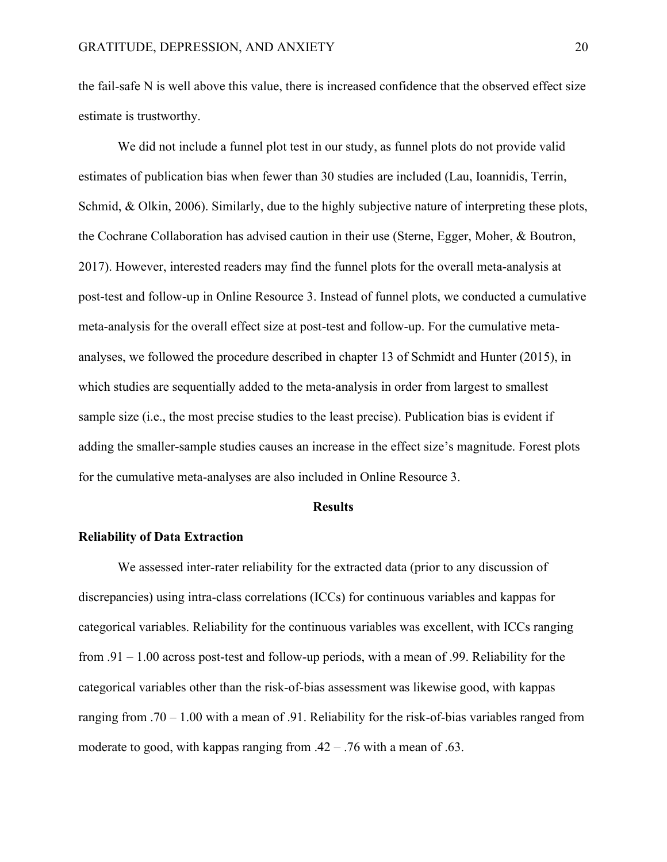the fail-safe N is well above this value, there is increased confidence that the observed effect size estimate is trustworthy.

We did not include a funnel plot test in our study, as funnel plots do not provide valid estimates of publication bias when fewer than 30 studies are included (Lau, Ioannidis, Terrin, Schmid, & Olkin, 2006). Similarly, due to the highly subjective nature of interpreting these plots, the Cochrane Collaboration has advised caution in their use (Sterne, Egger, Moher, & Boutron, 2017). However, interested readers may find the funnel plots for the overall meta-analysis at post-test and follow-up in Online Resource 3. Instead of funnel plots, we conducted a cumulative meta-analysis for the overall effect size at post-test and follow-up. For the cumulative metaanalyses, we followed the procedure described in chapter 13 of Schmidt and Hunter (2015), in which studies are sequentially added to the meta-analysis in order from largest to smallest sample size (i.e., the most precise studies to the least precise). Publication bias is evident if adding the smaller-sample studies causes an increase in the effect size's magnitude. Forest plots for the cumulative meta-analyses are also included in Online Resource 3.

#### **Results**

#### **Reliability of Data Extraction**

We assessed inter-rater reliability for the extracted data (prior to any discussion of discrepancies) using intra-class correlations (ICCs) for continuous variables and kappas for categorical variables. Reliability for the continuous variables was excellent, with ICCs ranging from .91 – 1.00 across post-test and follow-up periods, with a mean of .99. Reliability for the categorical variables other than the risk-of-bias assessment was likewise good, with kappas ranging from .70 – 1.00 with a mean of .91. Reliability for the risk-of-bias variables ranged from moderate to good, with kappas ranging from .42 – .76 with a mean of .63.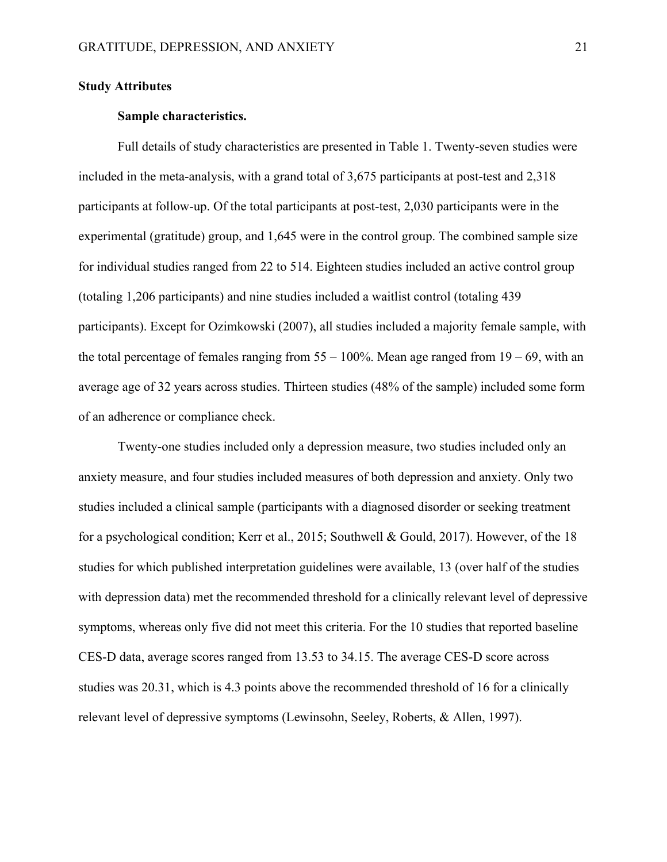#### **Study Attributes**

#### **Sample characteristics.**

Full details of study characteristics are presented in Table 1. Twenty-seven studies were included in the meta-analysis, with a grand total of 3,675 participants at post-test and 2,318 participants at follow-up. Of the total participants at post-test, 2,030 participants were in the experimental (gratitude) group, and 1,645 were in the control group. The combined sample size for individual studies ranged from 22 to 514. Eighteen studies included an active control group (totaling 1,206 participants) and nine studies included a waitlist control (totaling 439 participants). Except for Ozimkowski (2007), all studies included a majority female sample, with the total percentage of females ranging from  $55 - 100\%$ . Mean age ranged from  $19 - 69$ , with an average age of 32 years across studies. Thirteen studies (48% of the sample) included some form of an adherence or compliance check.

Twenty-one studies included only a depression measure, two studies included only an anxiety measure, and four studies included measures of both depression and anxiety. Only two studies included a clinical sample (participants with a diagnosed disorder or seeking treatment for a psychological condition; Kerr et al., 2015; Southwell & Gould, 2017). However, of the 18 studies for which published interpretation guidelines were available, 13 (over half of the studies with depression data) met the recommended threshold for a clinically relevant level of depressive symptoms, whereas only five did not meet this criteria. For the 10 studies that reported baseline CES-D data, average scores ranged from 13.53 to 34.15. The average CES-D score across studies was 20.31, which is 4.3 points above the recommended threshold of 16 for a clinically relevant level of depressive symptoms (Lewinsohn, Seeley, Roberts, & Allen, 1997).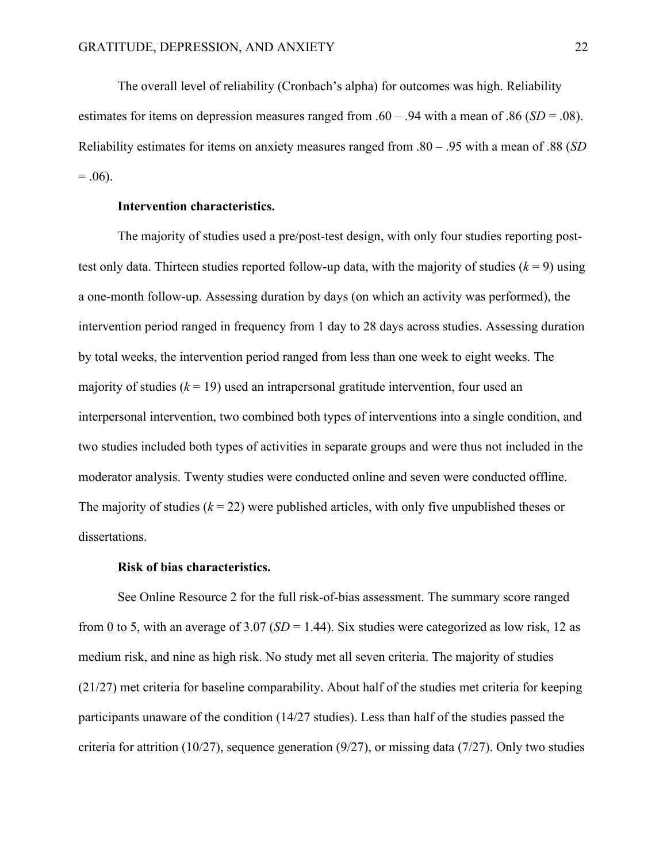The overall level of reliability (Cronbach's alpha) for outcomes was high. Reliability estimates for items on depression measures ranged from .60 – .94 with a mean of .86 (*SD* = .08). Reliability estimates for items on anxiety measures ranged from .80 – .95 with a mean of .88 (*SD*  $= .06$ ).

#### **Intervention characteristics.**

The majority of studies used a pre/post-test design, with only four studies reporting posttest only data. Thirteen studies reported follow-up data, with the majority of studies  $(k = 9)$  using a one-month follow-up. Assessing duration by days (on which an activity was performed), the intervention period ranged in frequency from 1 day to 28 days across studies. Assessing duration by total weeks, the intervention period ranged from less than one week to eight weeks. The majority of studies  $(k = 19)$  used an intrapersonal gratitude intervention, four used an interpersonal intervention, two combined both types of interventions into a single condition, and two studies included both types of activities in separate groups and were thus not included in the moderator analysis. Twenty studies were conducted online and seven were conducted offline. The majority of studies  $(k = 22)$  were published articles, with only five unpublished theses or dissertations.

#### **Risk of bias characteristics.**

See Online Resource 2 for the full risk-of-bias assessment. The summary score ranged from 0 to 5, with an average of  $3.07$  (*SD* = 1.44). Six studies were categorized as low risk, 12 as medium risk, and nine as high risk. No study met all seven criteria. The majority of studies (21/27) met criteria for baseline comparability. About half of the studies met criteria for keeping participants unaware of the condition (14/27 studies). Less than half of the studies passed the criteria for attrition (10/27), sequence generation (9/27), or missing data (7/27). Only two studies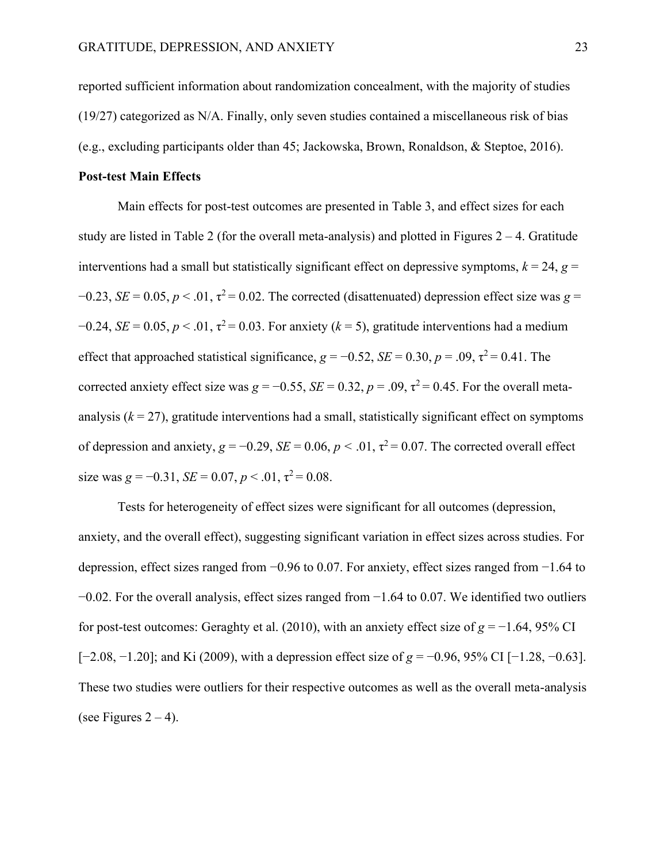reported sufficient information about randomization concealment, with the majority of studies (19/27) categorized as N/A. Finally, only seven studies contained a miscellaneous risk of bias (e.g., excluding participants older than 45; Jackowska, Brown, Ronaldson, & Steptoe, 2016).

#### **Post-test Main Effects**

Main effects for post-test outcomes are presented in Table 3, and effect sizes for each study are listed in Table 2 (for the overall meta-analysis) and plotted in Figures  $2 - 4$ . Gratitude interventions had a small but statistically significant effect on depressive symptoms,  $k = 24$ ,  $g =$  $-0.23$ , *SE* = 0.05, *p* < .01,  $\tau^2$  = 0.02. The corrected (disattenuated) depression effect size was *g* =  $-0.24$ , *SE* = 0.05, *p* < .01,  $\tau^2$  = 0.03. For anxiety (*k* = 5), gratitude interventions had a medium effect that approached statistical significance,  $g = -0.52$ ,  $SE = 0.30$ ,  $p = .09$ ,  $\tau^2 = 0.41$ . The corrected anxiety effect size was  $g = -0.55$ ,  $SE = 0.32$ ,  $p = .09$ ,  $\tau^2 = 0.45$ . For the overall metaanalysis  $(k = 27)$ , gratitude interventions had a small, statistically significant effect on symptoms of depression and anxiety,  $g = -0.29$ ,  $SE = 0.06$ ,  $p < .01$ ,  $\tau^2 = 0.07$ . The corrected overall effect size was  $g = -0.31$ ,  $SE = 0.07$ ,  $p < .01$ ,  $\tau^2 = 0.08$ .

Tests for heterogeneity of effect sizes were significant for all outcomes (depression, anxiety, and the overall effect), suggesting significant variation in effect sizes across studies. For depression, effect sizes ranged from −0.96 to 0.07. For anxiety, effect sizes ranged from −1.64 to −0.02. For the overall analysis, effect sizes ranged from −1.64 to 0.07. We identified two outliers for post-test outcomes: Geraghty et al. (2010), with an anxiety effect size of *g* = −1.64, 95% CI [−2.08, −1.20]; and Ki (2009), with a depression effect size of *g* = −0.96, 95% CI [−1.28, −0.63]. These two studies were outliers for their respective outcomes as well as the overall meta-analysis (see Figures  $2 - 4$ ).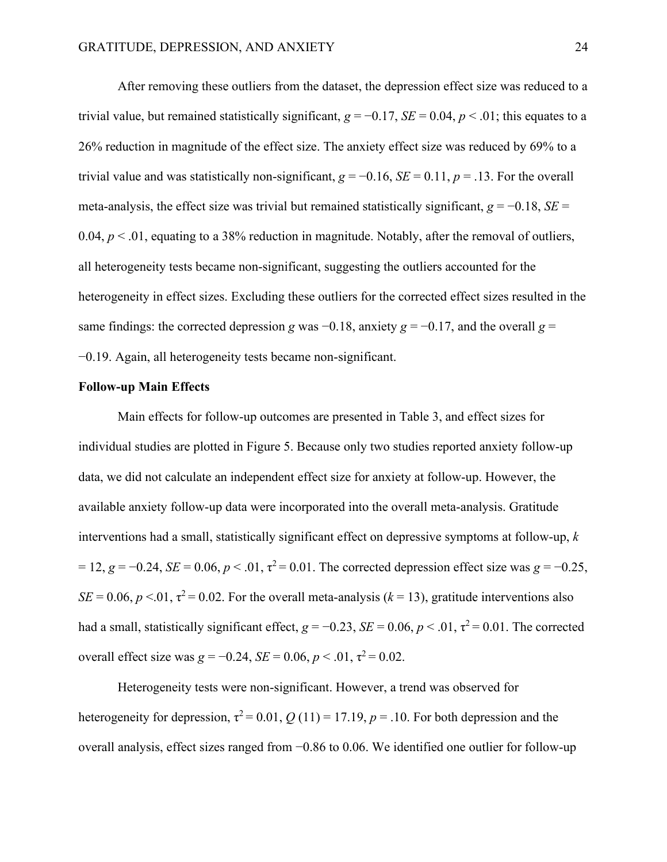After removing these outliers from the dataset, the depression effect size was reduced to a trivial value, but remained statistically significant,  $g = -0.17$ ,  $SE = 0.04$ ,  $p < .01$ ; this equates to a 26% reduction in magnitude of the effect size. The anxiety effect size was reduced by 69% to a trivial value and was statistically non-significant,  $g = -0.16$ ,  $SE = 0.11$ ,  $p = .13$ . For the overall meta-analysis, the effect size was trivial but remained statistically significant,  $g = -0.18$ ,  $SE =$ 0.04,  $p < 0.01$ , equating to a 38% reduction in magnitude. Notably, after the removal of outliers, all heterogeneity tests became non-significant, suggesting the outliers accounted for the heterogeneity in effect sizes. Excluding these outliers for the corrected effect sizes resulted in the same findings: the corrected depression *g* was  $-0.18$ , anxiety  $g = -0.17$ , and the overall  $g =$ −0.19. Again, all heterogeneity tests became non-significant.

#### **Follow-up Main Effects**

Main effects for follow-up outcomes are presented in Table 3, and effect sizes for individual studies are plotted in Figure 5. Because only two studies reported anxiety follow-up data, we did not calculate an independent effect size for anxiety at follow-up. However, the available anxiety follow-up data were incorporated into the overall meta-analysis. Gratitude interventions had a small, statistically significant effect on depressive symptoms at follow-up, *k*  $= 12, g = -0.24, SE = 0.06, p < .01, \tau^2 = 0.01$ . The corrected depression effect size was  $g = -0.25$ ,  $SE = 0.06$ ,  $p < 0.01$ ,  $\tau^2 = 0.02$ . For the overall meta-analysis ( $k = 13$ ), gratitude interventions also had a small, statistically significant effect,  $g = -0.23$ ,  $SE = 0.06$ ,  $p < .01$ ,  $\tau^2 = 0.01$ . The corrected overall effect size was  $g = -0.24$ ,  $SE = 0.06$ ,  $p < .01$ ,  $\tau^2 = 0.02$ .

Heterogeneity tests were non-significant. However, a trend was observed for heterogeneity for depression,  $\tau^2 = 0.01$ ,  $Q(11) = 17.19$ ,  $p = .10$ . For both depression and the overall analysis, effect sizes ranged from −0.86 to 0.06. We identified one outlier for follow-up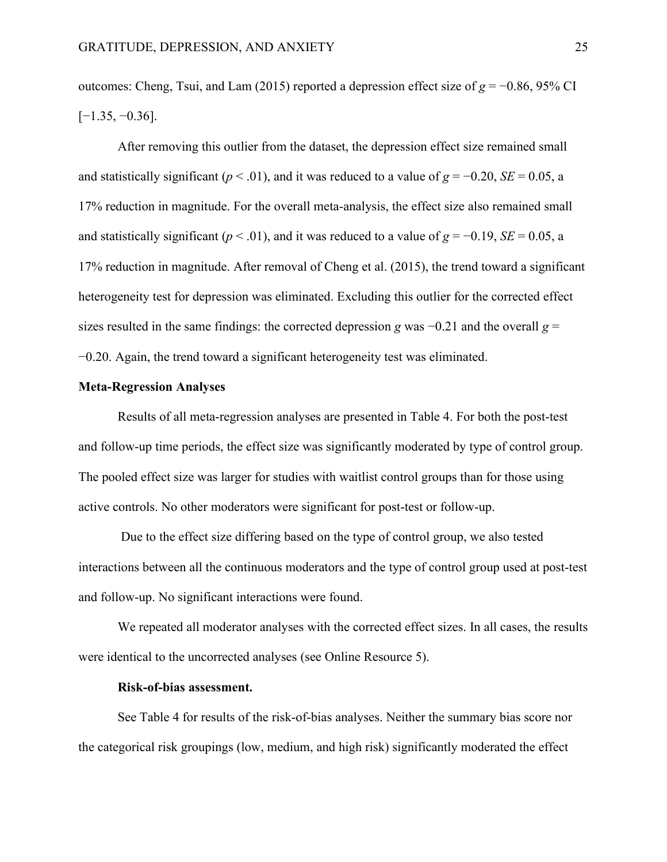outcomes: Cheng, Tsui, and Lam (2015) reported a depression effect size of *g* = −0.86, 95% CI  $[-1.35, -0.36]$ .

After removing this outlier from the dataset, the depression effect size remained small and statistically significant ( $p < .01$ ), and it was reduced to a value of  $g = -0.20$ ,  $SE = 0.05$ , a 17% reduction in magnitude. For the overall meta-analysis, the effect size also remained small and statistically significant ( $p < .01$ ), and it was reduced to a value of  $g = -0.19$ ,  $SE = 0.05$ , a 17% reduction in magnitude. After removal of Cheng et al. (2015), the trend toward a significant heterogeneity test for depression was eliminated. Excluding this outlier for the corrected effect sizes resulted in the same findings: the corrected depression *g* was −0.21 and the overall *g* = −0.20. Again, the trend toward a significant heterogeneity test was eliminated.

#### **Meta-Regression Analyses**

Results of all meta-regression analyses are presented in Table 4. For both the post-test and follow-up time periods, the effect size was significantly moderated by type of control group. The pooled effect size was larger for studies with waitlist control groups than for those using active controls. No other moderators were significant for post-test or follow-up.

Due to the effect size differing based on the type of control group, we also tested interactions between all the continuous moderators and the type of control group used at post-test and follow-up. No significant interactions were found.

We repeated all moderator analyses with the corrected effect sizes. In all cases, the results were identical to the uncorrected analyses (see Online Resource 5).

#### **Risk-of-bias assessment.**

See Table 4 for results of the risk-of-bias analyses. Neither the summary bias score nor the categorical risk groupings (low, medium, and high risk) significantly moderated the effect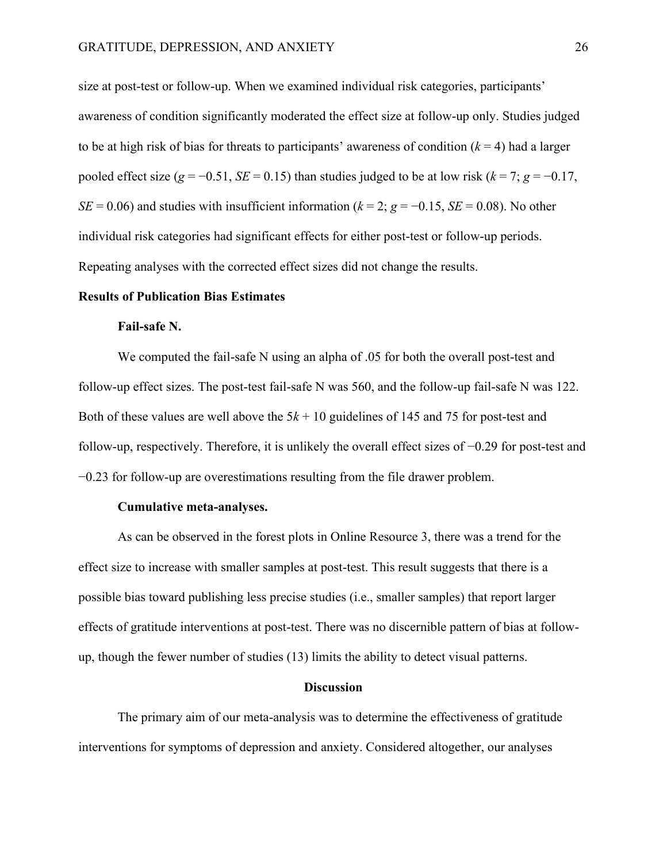size at post-test or follow-up. When we examined individual risk categories, participants' awareness of condition significantly moderated the effect size at follow-up only. Studies judged to be at high risk of bias for threats to participants' awareness of condition  $(k = 4)$  had a larger pooled effect size ( $g = -0.51$ , *SE* = 0.15) than studies judged to be at low risk ( $k = 7$ ;  $g = -0.17$ , *SE* = 0.06) and studies with insufficient information ( $k = 2$ ;  $g = -0.15$ , *SE* = 0.08). No other individual risk categories had significant effects for either post-test or follow-up periods. Repeating analyses with the corrected effect sizes did not change the results.

#### **Results of Publication Bias Estimates**

#### **Fail-safe N.**

We computed the fail-safe N using an alpha of .05 for both the overall post-test and follow-up effect sizes. The post-test fail-safe N was 560, and the follow-up fail-safe N was 122. Both of these values are well above the  $5k + 10$  guidelines of 145 and 75 for post-test and follow-up, respectively. Therefore, it is unlikely the overall effect sizes of −0.29 for post-test and −0.23 for follow-up are overestimations resulting from the file drawer problem.

#### **Cumulative meta-analyses.**

As can be observed in the forest plots in Online Resource 3, there was a trend for the effect size to increase with smaller samples at post-test. This result suggests that there is a possible bias toward publishing less precise studies (i.e., smaller samples) that report larger effects of gratitude interventions at post-test. There was no discernible pattern of bias at followup, though the fewer number of studies (13) limits the ability to detect visual patterns.

#### **Discussion**

The primary aim of our meta-analysis was to determine the effectiveness of gratitude interventions for symptoms of depression and anxiety. Considered altogether, our analyses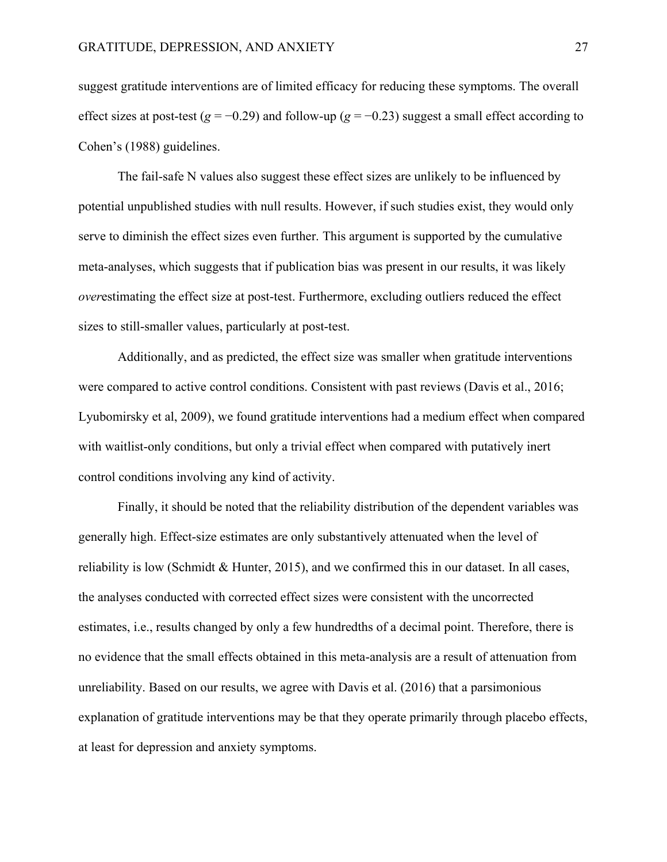suggest gratitude interventions are of limited efficacy for reducing these symptoms. The overall effect sizes at post-test (*g* = −0.29) and follow-up (*g* = −0.23) suggest a small effect according to Cohen's (1988) guidelines.

The fail-safe N values also suggest these effect sizes are unlikely to be influenced by potential unpublished studies with null results. However, if such studies exist, they would only serve to diminish the effect sizes even further. This argument is supported by the cumulative meta-analyses, which suggests that if publication bias was present in our results, it was likely *over*estimating the effect size at post-test. Furthermore, excluding outliers reduced the effect sizes to still-smaller values, particularly at post-test.

Additionally, and as predicted, the effect size was smaller when gratitude interventions were compared to active control conditions. Consistent with past reviews (Davis et al., 2016; Lyubomirsky et al, 2009), we found gratitude interventions had a medium effect when compared with waitlist-only conditions, but only a trivial effect when compared with putatively inert control conditions involving any kind of activity.

Finally, it should be noted that the reliability distribution of the dependent variables was generally high. Effect-size estimates are only substantively attenuated when the level of reliability is low (Schmidt & Hunter, 2015), and we confirmed this in our dataset. In all cases, the analyses conducted with corrected effect sizes were consistent with the uncorrected estimates, i.e., results changed by only a few hundredths of a decimal point. Therefore, there is no evidence that the small effects obtained in this meta-analysis are a result of attenuation from unreliability. Based on our results, we agree with Davis et al. (2016) that a parsimonious explanation of gratitude interventions may be that they operate primarily through placebo effects, at least for depression and anxiety symptoms.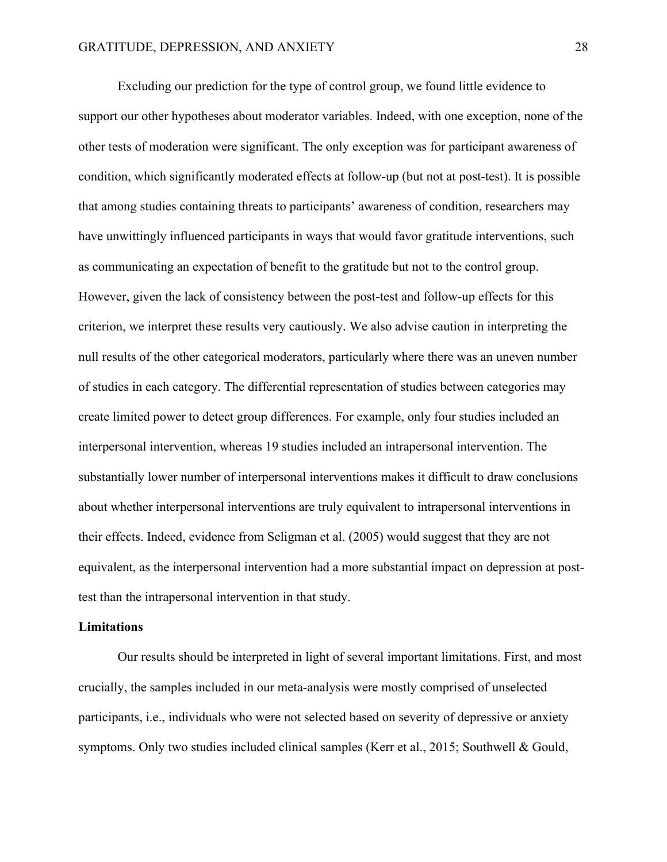Excluding our prediction for the type of control group, we found little evidence to support our other hypotheses about moderator variables. Indeed, with one exception, none of the other tests of moderation were significant. The only exception was for participant awareness of condition, which significantly moderated effects at follow-up (but not at post-test). It is possible that among studies containing threats to participants' awareness of condition, researchers may have unwittingly influenced participants in ways that would favor gratitude interventions, such as communicating an expectation of benefit to the gratitude but not to the control group. However, given the lack of consistency between the post-test and follow-up effects for this criterion, we interpret these results very cautiously. We also advise caution in interpreting the null results of the other categorical moderators, particularly where there was an uneven number of studies in each category. The differential representation of studies between categories may create limited power to detect group differences. For example, only four studies included an interpersonal intervention, whereas 19 studies included an intrapersonal intervention. The substantially lower number of interpersonal interventions makes it difficult to draw conclusions about whether interpersonal interventions are truly equivalent to intrapersonal interventions in their effects. Indeed, evidence from Seligman et al. (2005) would suggest that they are not equivalent, as the interpersonal intervention had a more substantial impact on depression at posttest than the intrapersonal intervention in that study.

#### **Limitations**

Our results should be interpreted in light of several important limitations. First, and most crucially, the samples included in our meta-analysis were mostly comprised of unselected participants, i.e., individuals who were not selected based on severity of depressive or anxiety symptoms. Only two studies included clinical samples (Kerr et al., 2015; Southwell & Gould,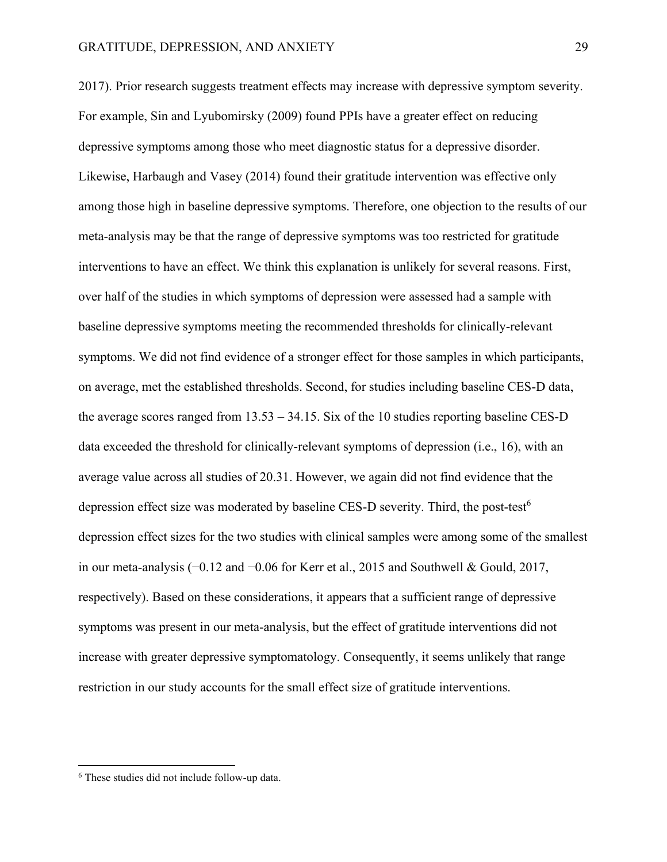2017). Prior research suggests treatment effects may increase with depressive symptom severity. For example, Sin and Lyubomirsky (2009) found PPIs have a greater effect on reducing depressive symptoms among those who meet diagnostic status for a depressive disorder. Likewise, Harbaugh and Vasey (2014) found their gratitude intervention was effective only among those high in baseline depressive symptoms. Therefore, one objection to the results of our meta-analysis may be that the range of depressive symptoms was too restricted for gratitude interventions to have an effect. We think this explanation is unlikely for several reasons. First, over half of the studies in which symptoms of depression were assessed had a sample with baseline depressive symptoms meeting the recommended thresholds for clinically-relevant symptoms. We did not find evidence of a stronger effect for those samples in which participants, on average, met the established thresholds. Second, for studies including baseline CES-D data, the average scores ranged from 13.53 – 34.15. Six of the 10 studies reporting baseline CES-D data exceeded the threshold for clinically-relevant symptoms of depression (i.e., 16), with an average value across all studies of 20.31. However, we again did not find evidence that the depression effect size was moderated by baseline CES-D severity. Third, the post-test<sup>6</sup> depression effect sizes for the two studies with clinical samples were among some of the smallest in our meta-analysis (−0.12 and −0.06 for Kerr et al., 2015 and Southwell & Gould, 2017, respectively). Based on these considerations, it appears that a sufficient range of depressive symptoms was present in our meta-analysis, but the effect of gratitude interventions did not increase with greater depressive symptomatology. Consequently, it seems unlikely that range restriction in our study accounts for the small effect size of gratitude interventions.

<sup>6</sup> These studies did not include follow-up data.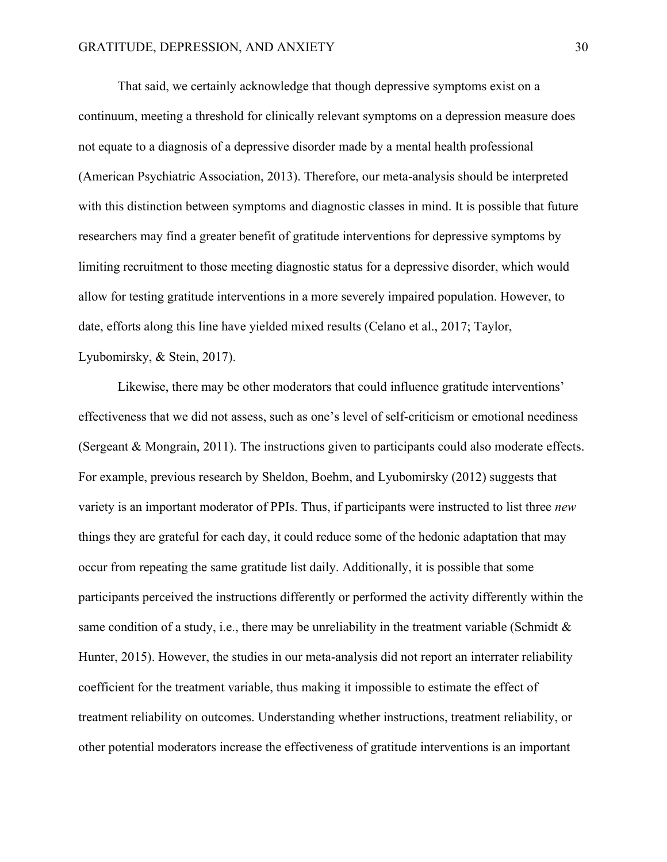That said, we certainly acknowledge that though depressive symptoms exist on a continuum, meeting a threshold for clinically relevant symptoms on a depression measure does not equate to a diagnosis of a depressive disorder made by a mental health professional (American Psychiatric Association, 2013). Therefore, our meta-analysis should be interpreted with this distinction between symptoms and diagnostic classes in mind. It is possible that future researchers may find a greater benefit of gratitude interventions for depressive symptoms by limiting recruitment to those meeting diagnostic status for a depressive disorder, which would allow for testing gratitude interventions in a more severely impaired population. However, to date, efforts along this line have yielded mixed results (Celano et al., 2017; Taylor, Lyubomirsky, & Stein, 2017).

Likewise, there may be other moderators that could influence gratitude interventions' effectiveness that we did not assess, such as one's level of self-criticism or emotional neediness (Sergeant & Mongrain, 2011). The instructions given to participants could also moderate effects. For example, previous research by Sheldon, Boehm, and Lyubomirsky (2012) suggests that variety is an important moderator of PPIs. Thus, if participants were instructed to list three *new* things they are grateful for each day, it could reduce some of the hedonic adaptation that may occur from repeating the same gratitude list daily. Additionally, it is possible that some participants perceived the instructions differently or performed the activity differently within the same condition of a study, i.e., there may be unreliability in the treatment variable (Schmidt  $\&$ Hunter, 2015). However, the studies in our meta-analysis did not report an interrater reliability coefficient for the treatment variable, thus making it impossible to estimate the effect of treatment reliability on outcomes. Understanding whether instructions, treatment reliability, or other potential moderators increase the effectiveness of gratitude interventions is an important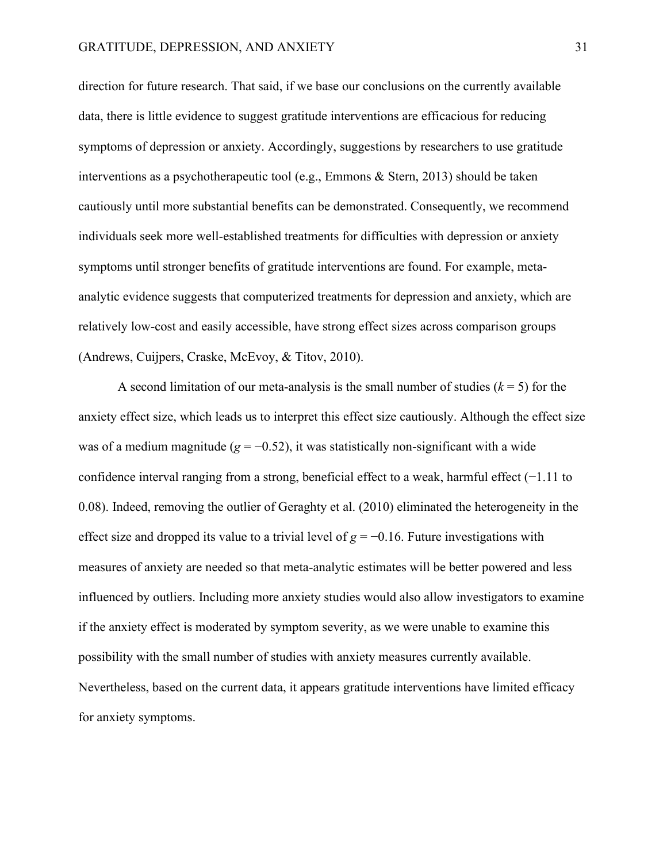direction for future research. That said, if we base our conclusions on the currently available data, there is little evidence to suggest gratitude interventions are efficacious for reducing symptoms of depression or anxiety. Accordingly, suggestions by researchers to use gratitude interventions as a psychotherapeutic tool (e.g., Emmons & Stern, 2013) should be taken cautiously until more substantial benefits can be demonstrated. Consequently, we recommend individuals seek more well-established treatments for difficulties with depression or anxiety symptoms until stronger benefits of gratitude interventions are found. For example, metaanalytic evidence suggests that computerized treatments for depression and anxiety, which are relatively low-cost and easily accessible, have strong effect sizes across comparison groups (Andrews, Cuijpers, Craske, McEvoy, & Titov, 2010).

A second limitation of our meta-analysis is the small number of studies  $(k = 5)$  for the anxiety effect size, which leads us to interpret this effect size cautiously. Although the effect size was of a medium magnitude ( $g = -0.52$ ), it was statistically non-significant with a wide confidence interval ranging from a strong, beneficial effect to a weak, harmful effect (−1.11 to 0.08). Indeed, removing the outlier of Geraghty et al. (2010) eliminated the heterogeneity in the effect size and dropped its value to a trivial level of *g* = −0.16. Future investigations with measures of anxiety are needed so that meta-analytic estimates will be better powered and less influenced by outliers. Including more anxiety studies would also allow investigators to examine if the anxiety effect is moderated by symptom severity, as we were unable to examine this possibility with the small number of studies with anxiety measures currently available. Nevertheless, based on the current data, it appears gratitude interventions have limited efficacy for anxiety symptoms.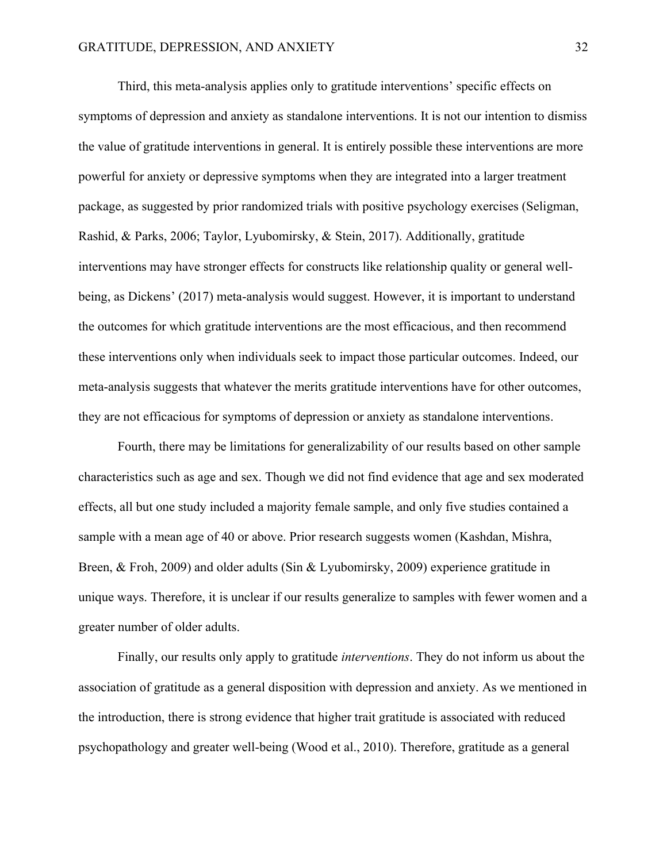Third, this meta-analysis applies only to gratitude interventions' specific effects on symptoms of depression and anxiety as standalone interventions. It is not our intention to dismiss the value of gratitude interventions in general. It is entirely possible these interventions are more powerful for anxiety or depressive symptoms when they are integrated into a larger treatment package, as suggested by prior randomized trials with positive psychology exercises (Seligman, Rashid, & Parks, 2006; Taylor, Lyubomirsky, & Stein, 2017). Additionally, gratitude interventions may have stronger effects for constructs like relationship quality or general wellbeing, as Dickens' (2017) meta-analysis would suggest. However, it is important to understand the outcomes for which gratitude interventions are the most efficacious, and then recommend these interventions only when individuals seek to impact those particular outcomes. Indeed, our meta-analysis suggests that whatever the merits gratitude interventions have for other outcomes, they are not efficacious for symptoms of depression or anxiety as standalone interventions.

Fourth, there may be limitations for generalizability of our results based on other sample characteristics such as age and sex. Though we did not find evidence that age and sex moderated effects, all but one study included a majority female sample, and only five studies contained a sample with a mean age of 40 or above. Prior research suggests women (Kashdan, Mishra, Breen, & Froh, 2009) and older adults (Sin & Lyubomirsky, 2009) experience gratitude in unique ways. Therefore, it is unclear if our results generalize to samples with fewer women and a greater number of older adults.

Finally, our results only apply to gratitude *interventions*. They do not inform us about the association of gratitude as a general disposition with depression and anxiety. As we mentioned in the introduction, there is strong evidence that higher trait gratitude is associated with reduced psychopathology and greater well-being (Wood et al., 2010). Therefore, gratitude as a general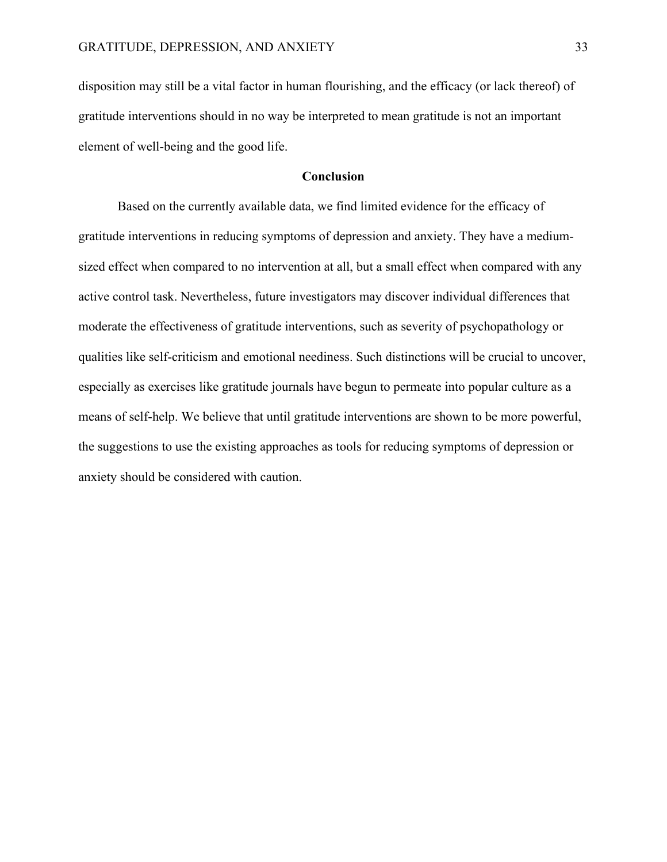disposition may still be a vital factor in human flourishing, and the efficacy (or lack thereof) of gratitude interventions should in no way be interpreted to mean gratitude is not an important element of well-being and the good life.

#### **Conclusion**

Based on the currently available data, we find limited evidence for the efficacy of gratitude interventions in reducing symptoms of depression and anxiety. They have a mediumsized effect when compared to no intervention at all, but a small effect when compared with any active control task. Nevertheless, future investigators may discover individual differences that moderate the effectiveness of gratitude interventions, such as severity of psychopathology or qualities like self-criticism and emotional neediness. Such distinctions will be crucial to uncover, especially as exercises like gratitude journals have begun to permeate into popular culture as a means of self-help. We believe that until gratitude interventions are shown to be more powerful, the suggestions to use the existing approaches as tools for reducing symptoms of depression or anxiety should be considered with caution.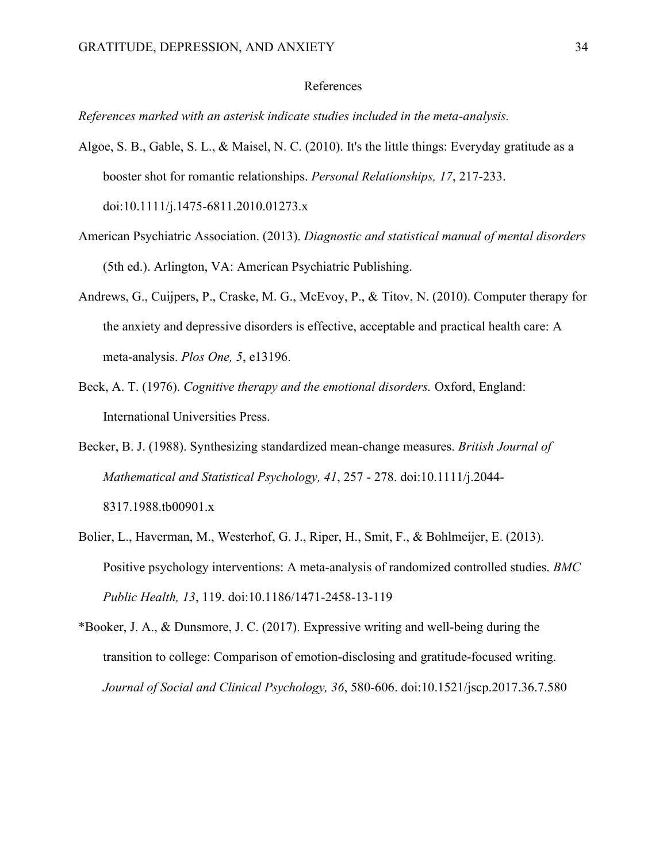#### References

*References marked with an asterisk indicate studies included in the meta-analysis.*

- Algoe, S. B., Gable, S. L., & Maisel, N. C. (2010). It's the little things: Everyday gratitude as a booster shot for romantic relationships. *Personal Relationships, 17*, 217-233. doi:10.1111/j.1475-6811.2010.01273.x
- American Psychiatric Association. (2013). *Diagnostic and statistical manual of mental disorders* (5th ed.). Arlington, VA: American Psychiatric Publishing.
- Andrews, G., Cuijpers, P., Craske, M. G., McEvoy, P., & Titov, N. (2010). Computer therapy for the anxiety and depressive disorders is effective, acceptable and practical health care: A meta-analysis. *Plos One, 5*, e13196.
- Beck, A. T. (1976). *Cognitive therapy and the emotional disorders.* Oxford, England: International Universities Press.
- Becker, B. J. (1988). Synthesizing standardized mean-change measures. *British Journal of Mathematical and Statistical Psychology, 41*, 257 - 278. doi:10.1111/j.2044- 8317.1988.tb00901.x
- Bolier, L., Haverman, M., Westerhof, G. J., Riper, H., Smit, F., & Bohlmeijer, E. (2013). Positive psychology interventions: A meta-analysis of randomized controlled studies. *BMC Public Health, 13*, 119. doi:10.1186/1471-2458-13-119
- \*Booker, J. A., & Dunsmore, J. C. (2017). Expressive writing and well-being during the transition to college: Comparison of emotion-disclosing and gratitude-focused writing. *Journal of Social and Clinical Psychology, 36*, 580-606. doi:10.1521/jscp.2017.36.7.580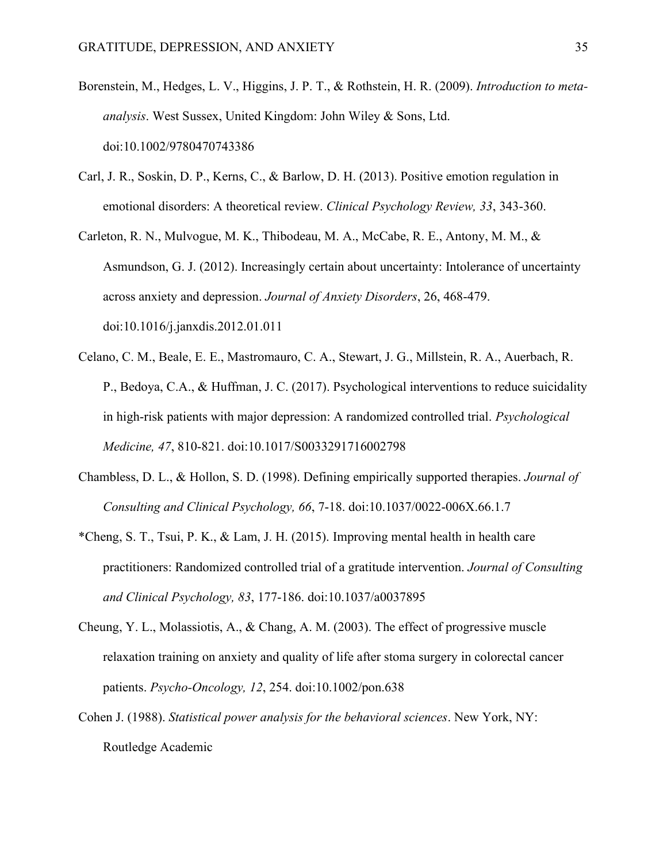- Borenstein, M., Hedges, L. V., Higgins, J. P. T., & Rothstein, H. R. (2009). *Introduction to metaanalysis*. West Sussex, United Kingdom: John Wiley & Sons, Ltd. doi:10.1002/9780470743386
- Carl, J. R., Soskin, D. P., Kerns, C., & Barlow, D. H. (2013). Positive emotion regulation in emotional disorders: A theoretical review. *Clinical Psychology Review, 33*, 343-360.
- Carleton, R. N., Mulvogue, M. K., Thibodeau, M. A., McCabe, R. E., Antony, M. M., & Asmundson, G. J. (2012). Increasingly certain about uncertainty: Intolerance of uncertainty across anxiety and depression. *Journal of Anxiety Disorders*, 26, 468-479. doi:10.1016/j.janxdis.2012.01.011
- Celano, C. M., Beale, E. E., Mastromauro, C. A., Stewart, J. G., Millstein, R. A., Auerbach, R. P., Bedoya, C.A., & Huffman, J. C. (2017). Psychological interventions to reduce suicidality in high-risk patients with major depression: A randomized controlled trial. *Psychological Medicine, 47*, 810-821. doi:10.1017/S0033291716002798
- Chambless, D. L., & Hollon, S. D. (1998). Defining empirically supported therapies. *Journal of Consulting and Clinical Psychology, 66*, 7-18. doi:10.1037/0022-006X.66.1.7
- \*Cheng, S. T., Tsui, P. K., & Lam, J. H. (2015). Improving mental health in health care practitioners: Randomized controlled trial of a gratitude intervention. *Journal of Consulting and Clinical Psychology, 83*, 177-186. doi:10.1037/a0037895
- Cheung, Y. L., Molassiotis, A., & Chang, A. M. (2003). The effect of progressive muscle relaxation training on anxiety and quality of life after stoma surgery in colorectal cancer patients. *Psycho-Oncology, 12*, 254. doi:10.1002/pon.638
- Cohen J. (1988). *Statistical power analysis for the behavioral sciences*. New York, NY: Routledge Academic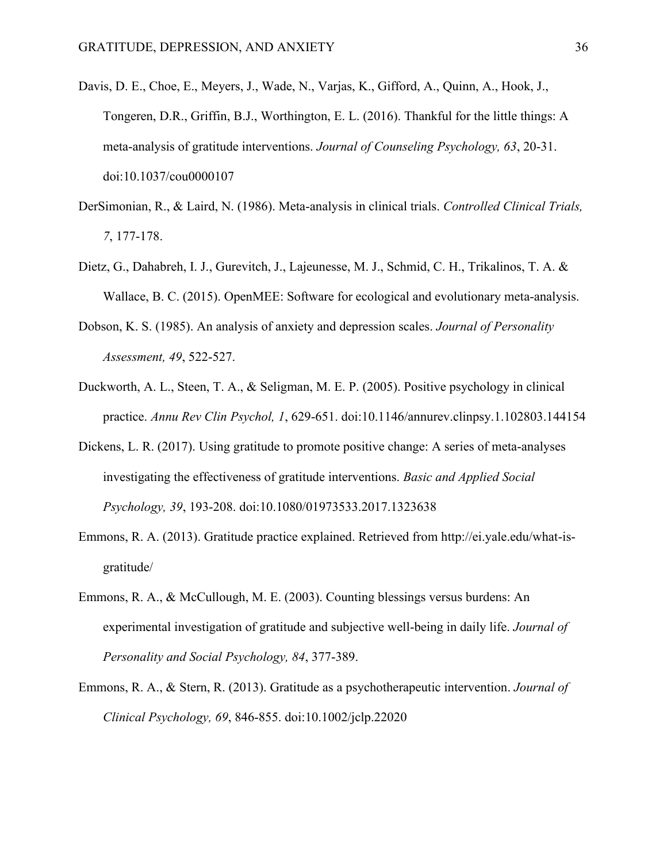- Davis, D. E., Choe, E., Meyers, J., Wade, N., Varjas, K., Gifford, A., Quinn, A., Hook, J., Tongeren, D.R., Griffin, B.J., Worthington, E. L. (2016). Thankful for the little things: A meta-analysis of gratitude interventions. *Journal of Counseling Psychology, 63*, 20-31. doi:10.1037/cou0000107
- DerSimonian, R., & Laird, N. (1986). Meta-analysis in clinical trials. *Controlled Clinical Trials, 7*, 177-178.
- Dietz, G., Dahabreh, I. J., Gurevitch, J., Lajeunesse, M. J., Schmid, C. H., Trikalinos, T. A. & Wallace, B. C. (2015). OpenMEE: Software for ecological and evolutionary meta-analysis.
- Dobson, K. S. (1985). An analysis of anxiety and depression scales. *Journal of Personality Assessment, 49*, 522-527.
- Duckworth, A. L., Steen, T. A., & Seligman, M. E. P. (2005). Positive psychology in clinical practice. *Annu Rev Clin Psychol, 1*, 629-651. doi:10.1146/annurev.clinpsy.1.102803.144154
- Dickens, L. R. (2017). Using gratitude to promote positive change: A series of meta-analyses investigating the effectiveness of gratitude interventions. *Basic and Applied Social Psychology, 39*, 193-208. doi:10.1080/01973533.2017.1323638
- Emmons, R. A. (2013). Gratitude practice explained. Retrieved from http://ei.yale.edu/what-isgratitude/
- Emmons, R. A., & McCullough, M. E. (2003). Counting blessings versus burdens: An experimental investigation of gratitude and subjective well-being in daily life. *Journal of Personality and Social Psychology, 84*, 377-389.
- Emmons, R. A., & Stern, R. (2013). Gratitude as a psychotherapeutic intervention. *Journal of Clinical Psychology, 69*, 846-855. doi:10.1002/jclp.22020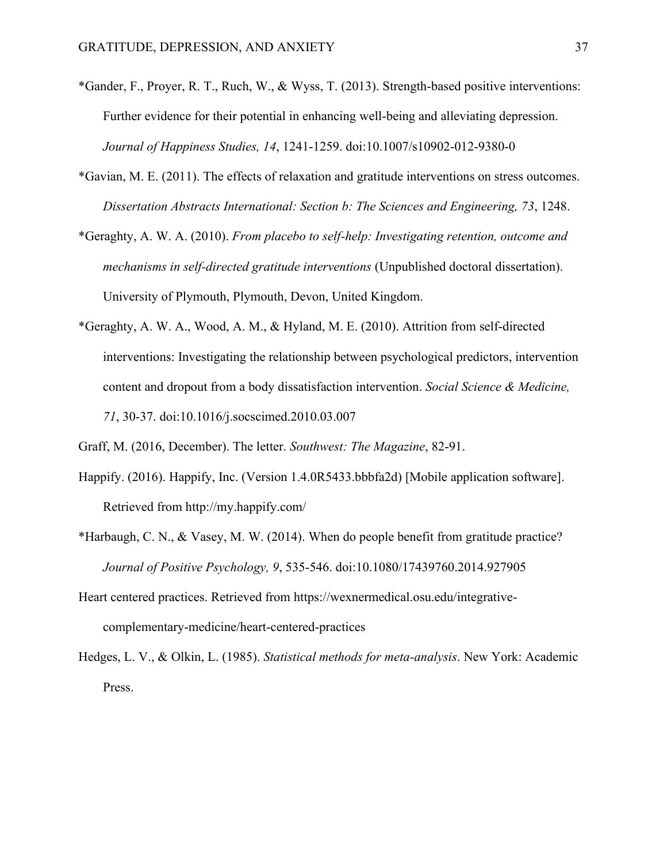- \*Gander, F., Proyer, R. T., Ruch, W., & Wyss, T. (2013). Strength-based positive interventions: Further evidence for their potential in enhancing well-being and alleviating depression. *Journal of Happiness Studies, 14*, 1241-1259. doi:10.1007/s10902-012-9380-0
- \*Gavian, M. E. (2011). The effects of relaxation and gratitude interventions on stress outcomes. *Dissertation Abstracts International: Section b: The Sciences and Engineering, 73*, 1248.
- \*Geraghty, A. W. A. (2010). *From placebo to self-help: Investigating retention, outcome and mechanisms in self-directed gratitude interventions* (Unpublished doctoral dissertation). University of Plymouth, Plymouth, Devon, United Kingdom.
- \*Geraghty, A. W. A., Wood, A. M., & Hyland, M. E. (2010). Attrition from self-directed interventions: Investigating the relationship between psychological predictors, intervention content and dropout from a body dissatisfaction intervention. *Social Science & Medicine, 71*, 30-37. doi:10.1016/j.socscimed.2010.03.007
- Graff, M. (2016, December). The letter. *Southwest: The Magazine*, 82-91.
- Happify. (2016). Happify, Inc. (Version 1.4.0R5433.bbbfa2d) [Mobile application software]. Retrieved from http://my.happify.com/
- \*Harbaugh, C. N., & Vasey, M. W. (2014). When do people benefit from gratitude practice? *Journal of Positive Psychology, 9*, 535-546. doi:10.1080/17439760.2014.927905
- Heart centered practices. Retrieved from https://wexnermedical.osu.edu/integrativecomplementary-medicine/heart-centered-practices
- Hedges, L. V., & Olkin, L. (1985). *Statistical methods for meta-analysis*. New York: Academic Press.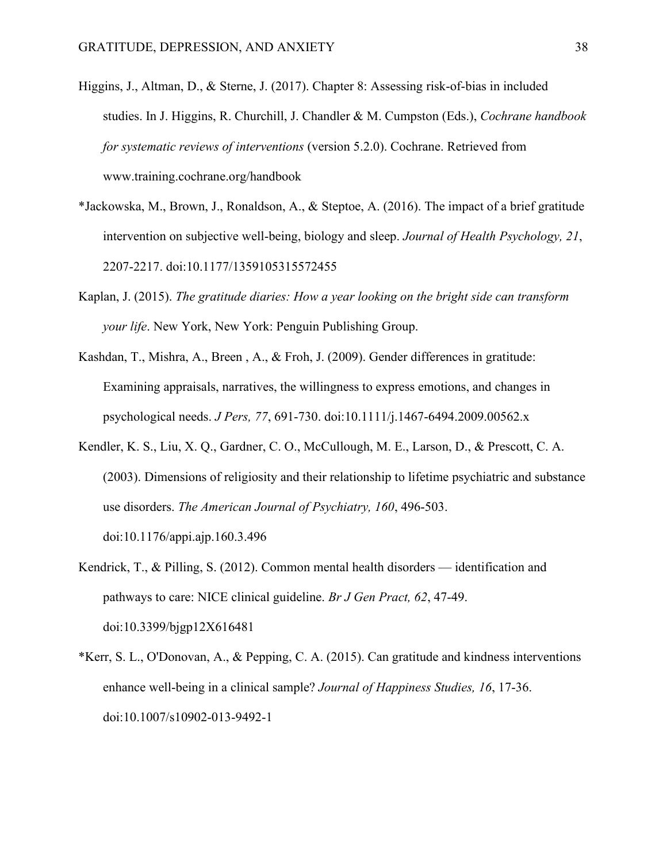- Higgins, J., Altman, D., & Sterne, J. (2017). Chapter 8: Assessing risk-of-bias in included studies. In J. Higgins, R. Churchill, J. Chandler & M. Cumpston (Eds.), *Cochrane handbook for systematic reviews of interventions* (version 5.2.0). Cochrane. Retrieved from www.training.cochrane.org/handbook
- \*Jackowska, M., Brown, J., Ronaldson, A., & Steptoe, A. (2016). The impact of a brief gratitude intervention on subjective well-being, biology and sleep. *Journal of Health Psychology, 21*, 2207-2217. doi:10.1177/1359105315572455
- Kaplan, J. (2015). *The gratitude diaries: How a year looking on the bright side can transform your life*. New York, New York: Penguin Publishing Group.
- Kashdan, T., Mishra, A., Breen , A., & Froh, J. (2009). Gender differences in gratitude: Examining appraisals, narratives, the willingness to express emotions, and changes in psychological needs. *J Pers, 77*, 691-730. doi:10.1111/j.1467-6494.2009.00562.x
- Kendler, K. S., Liu, X. Q., Gardner, C. O., McCullough, M. E., Larson, D., & Prescott, C. A. (2003). Dimensions of religiosity and their relationship to lifetime psychiatric and substance use disorders. *The American Journal of Psychiatry, 160*, 496-503. doi:10.1176/appi.ajp.160.3.496
- Kendrick, T., & Pilling, S. (2012). Common mental health disorders identification and pathways to care: NICE clinical guideline. *Br J Gen Pract, 62*, 47-49. doi:10.3399/bjgp12X616481
- \*Kerr, S. L., O'Donovan, A., & Pepping, C. A. (2015). Can gratitude and kindness interventions enhance well-being in a clinical sample? *Journal of Happiness Studies, 16*, 17-36. doi:10.1007/s10902-013-9492-1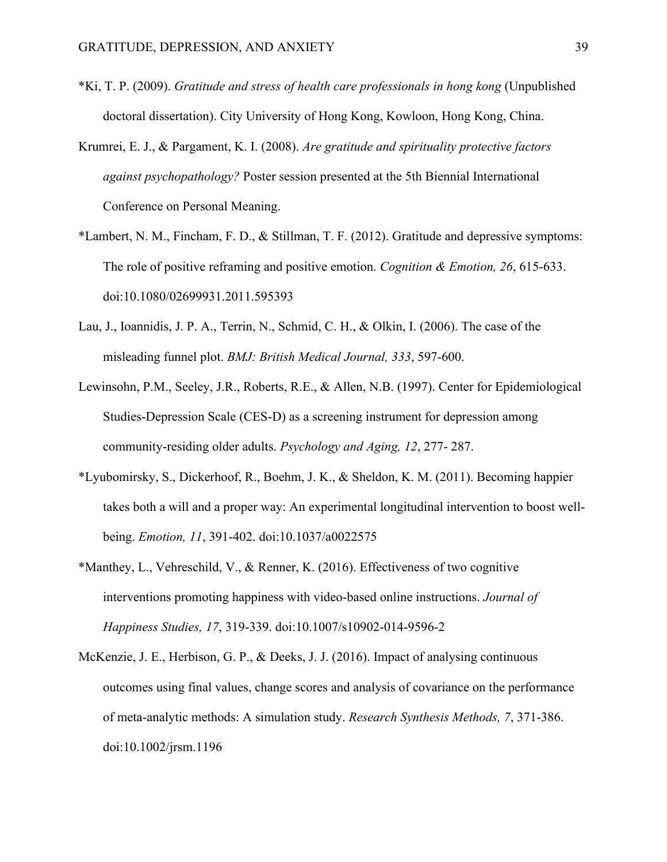- \*Ki, T. P. (2009). *Gratitude and stress of health care professionals in hong kong* (Unpublished doctoral dissertation). City University of Hong Kong, Kowloon, Hong Kong, China.
- Krumrei, E. J., & Pargament, K. I. (2008). *Are gratitude and spirituality protective factors against psychopathology?* Poster session presented at the 5th Biennial International Conference on Personal Meaning.
- \*Lambert, N. M., Fincham, F. D., & Stillman, T. F. (2012). Gratitude and depressive symptoms: The role of positive reframing and positive emotion. *Cognition & Emotion, 26*, 615-633. doi:10.1080/02699931.2011.595393
- Lau, J., Ioannidis, J. P. A., Terrin, N., Schmid, C. H., & Olkin, I. (2006). The case of the misleading funnel plot. *BMJ: British Medical Journal, 333*, 597-600.
- Lewinsohn, P.M., Seeley, J.R., Roberts, R.E., & Allen, N.B. (1997). Center for Epidemiological Studies-Depression Scale (CES-D) as a screening instrument for depression among community-residing older adults. *Psychology and Aging, 12*, 277- 287.
- \*Lyubomirsky, S., Dickerhoof, R., Boehm, J. K., & Sheldon, K. M. (2011). Becoming happier takes both a will and a proper way: An experimental longitudinal intervention to boost wellbeing. *Emotion, 11*, 391-402. doi:10.1037/a0022575
- \*Manthey, L., Vehreschild, V., & Renner, K. (2016). Effectiveness of two cognitive interventions promoting happiness with video-based online instructions. *Journal of Happiness Studies, 17*, 319-339. doi:10.1007/s10902-014-9596-2
- McKenzie, J. E., Herbison, G. P., & Deeks, J. J. (2016). Impact of analysing continuous outcomes using final values, change scores and analysis of covariance on the performance of meta-analytic methods: A simulation study. *Research Synthesis Methods, 7*, 371-386. doi:10.1002/jrsm.1196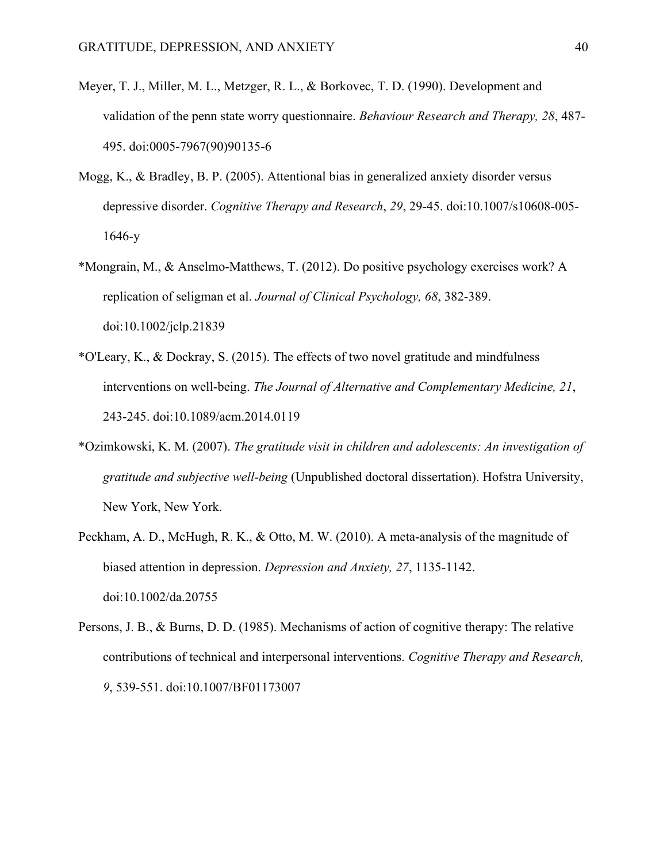- Meyer, T. J., Miller, M. L., Metzger, R. L., & Borkovec, T. D. (1990). Development and validation of the penn state worry questionnaire. *Behaviour Research and Therapy, 28*, 487- 495. doi:0005-7967(90)90135-6
- Mogg, K., & Bradley, B. P. (2005). Attentional bias in generalized anxiety disorder versus depressive disorder. *Cognitive Therapy and Research*, *29*, 29-45. doi:10.1007/s10608-005- 1646-y
- \*Mongrain, M., & Anselmo-Matthews, T. (2012). Do positive psychology exercises work? A replication of seligman et al. *Journal of Clinical Psychology, 68*, 382-389. doi:10.1002/jclp.21839
- \*O'Leary, K., & Dockray, S. (2015). The effects of two novel gratitude and mindfulness interventions on well-being. *The Journal of Alternative and Complementary Medicine, 21*, 243-245. doi:10.1089/acm.2014.0119
- \*Ozimkowski, K. M. (2007). *The gratitude visit in children and adolescents: An investigation of gratitude and subjective well-being* (Unpublished doctoral dissertation). Hofstra University, New York, New York.
- Peckham, A. D., McHugh, R. K., & Otto, M. W. (2010). A meta-analysis of the magnitude of biased attention in depression. *Depression and Anxiety, 27*, 1135-1142. doi:10.1002/da.20755
- Persons, J. B., & Burns, D. D. (1985). Mechanisms of action of cognitive therapy: The relative contributions of technical and interpersonal interventions. *Cognitive Therapy and Research, 9*, 539-551. doi:10.1007/BF01173007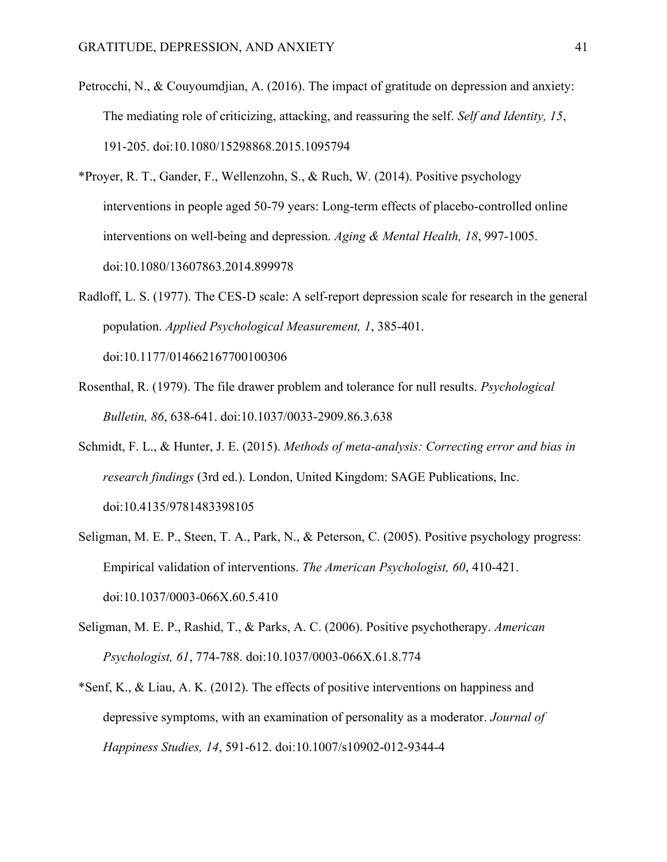- Petrocchi, N., & Couyoumdjian, A. (2016). The impact of gratitude on depression and anxiety: The mediating role of criticizing, attacking, and reassuring the self. *Self and Identity, 15*, 191-205. doi:10.1080/15298868.2015.1095794
- \*Proyer, R. T., Gander, F., Wellenzohn, S., & Ruch, W. (2014). Positive psychology interventions in people aged 50-79 years: Long-term effects of placebo-controlled online interventions on well-being and depression. *Aging & Mental Health, 18*, 997-1005. doi:10.1080/13607863.2014.899978
- Radloff, L. S. (1977). The CES-D scale: A self-report depression scale for research in the general population. *Applied Psychological Measurement, 1*, 385-401. doi:10.1177/014662167700100306
- Rosenthal, R. (1979). The file drawer problem and tolerance for null results. *Psychological Bulletin, 86*, 638-641. doi:10.1037/0033-2909.86.3.638
- Schmidt, F. L., & Hunter, J. E. (2015). *Methods of meta-analysis: Correcting error and bias in research findings* (3rd ed.). London, United Kingdom: SAGE Publications, Inc. doi:10.4135/9781483398105
- Seligman, M. E. P., Steen, T. A., Park, N., & Peterson, C. (2005). Positive psychology progress: Empirical validation of interventions. *The American Psychologist, 60*, 410-421. doi:10.1037/0003-066X.60.5.410
- Seligman, M. E. P., Rashid, T., & Parks, A. C. (2006). Positive psychotherapy. *American Psychologist, 61*, 774-788. doi:10.1037/0003-066X.61.8.774
- \*Senf, K., & Liau, A. K. (2012). The effects of positive interventions on happiness and depressive symptoms, with an examination of personality as a moderator. *Journal of Happiness Studies, 14*, 591-612. doi:10.1007/s10902-012-9344-4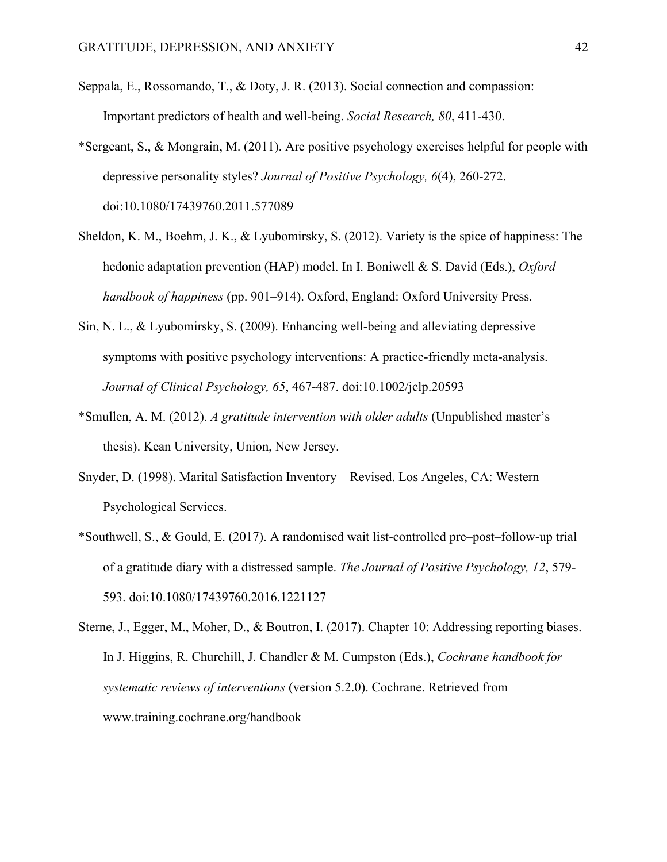- Seppala, E., Rossomando, T., & Doty, J. R. (2013). Social connection and compassion: Important predictors of health and well-being. *Social Research, 80*, 411-430.
- \*Sergeant, S., & Mongrain, M. (2011). Are positive psychology exercises helpful for people with depressive personality styles? *Journal of Positive Psychology, 6*(4), 260-272. doi:10.1080/17439760.2011.577089
- Sheldon, K. M., Boehm, J. K., & Lyubomirsky, S. (2012). Variety is the spice of happiness: The hedonic adaptation prevention (HAP) model. In I. Boniwell & S. David (Eds.), *Oxford handbook of happiness* (pp. 901–914). Oxford, England: Oxford University Press.
- Sin, N. L., & Lyubomirsky, S. (2009). Enhancing well-being and alleviating depressive symptoms with positive psychology interventions: A practice-friendly meta-analysis. *Journal of Clinical Psychology, 65*, 467-487. doi:10.1002/jclp.20593
- \*Smullen, A. M. (2012). *A gratitude intervention with older adults* (Unpublished master's thesis). Kean University, Union, New Jersey.
- Snyder, D. (1998). Marital Satisfaction Inventory—Revised. Los Angeles, CA: Western Psychological Services.
- \*Southwell, S., & Gould, E. (2017). A randomised wait list-controlled pre–post–follow-up trial of a gratitude diary with a distressed sample. *The Journal of Positive Psychology, 12*, 579- 593. doi:10.1080/17439760.2016.1221127
- Sterne, J., Egger, M., Moher, D., & Boutron, I. (2017). Chapter 10: Addressing reporting biases. In J. Higgins, R. Churchill, J. Chandler & M. Cumpston (Eds.), *Cochrane handbook for systematic reviews of interventions* (version 5.2.0). Cochrane. Retrieved from www.training.cochrane.org/handbook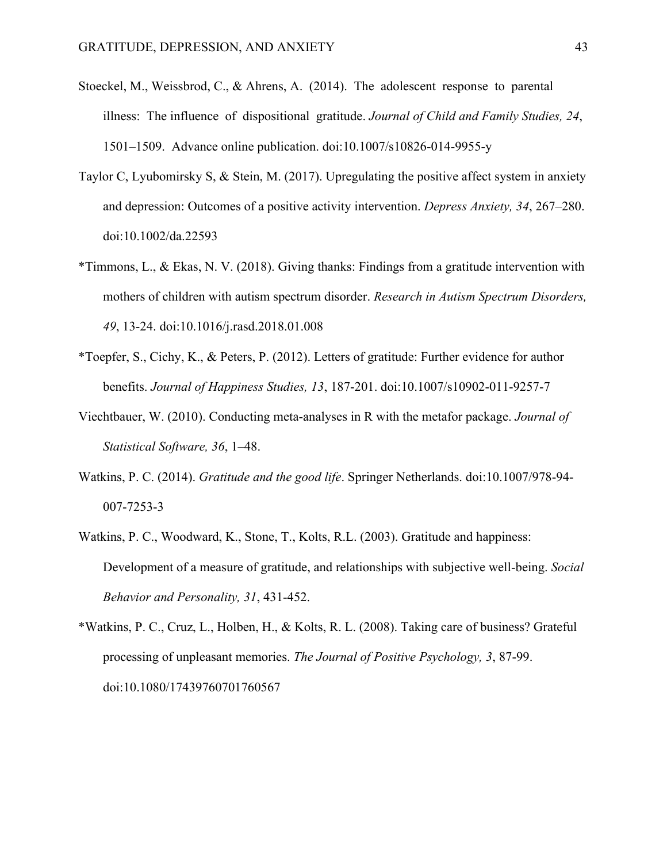- Stoeckel, M., Weissbrod, C., & Ahrens, A. (2014). The adolescent response to parental illness: The influence of dispositional gratitude. *Journal of Child and Family Studies, 24*, 1501–1509. Advance online publication. doi:10.1007/s10826-014-9955-y
- Taylor C, Lyubomirsky S, & Stein, M. (2017). Upregulating the positive affect system in anxiety and depression: Outcomes of a positive activity intervention. *Depress Anxiety, 34*, 267–280. doi:10.1002/da.22593
- \*Timmons, L., & Ekas, N. V. (2018). Giving thanks: Findings from a gratitude intervention with mothers of children with autism spectrum disorder. *Research in Autism Spectrum Disorders, 49*, 13-24. doi:10.1016/j.rasd.2018.01.008
- \*Toepfer, S., Cichy, K., & Peters, P. (2012). Letters of gratitude: Further evidence for author benefits. *Journal of Happiness Studies, 13*, 187-201. doi:10.1007/s10902-011-9257-7
- Viechtbauer, W. (2010). Conducting meta-analyses in R with the metafor package. *Journal of Statistical Software, 36*, 1–48.
- Watkins, P. C. (2014). *Gratitude and the good life*. Springer Netherlands. doi:10.1007/978-94- 007-7253-3
- Watkins, P. C., Woodward, K., Stone, T., Kolts, R.L. (2003). Gratitude and happiness: Development of a measure of gratitude, and relationships with subjective well-being. *Social Behavior and Personality, 31*, 431-452.
- \*Watkins, P. C., Cruz, L., Holben, H., & Kolts, R. L. (2008). Taking care of business? Grateful processing of unpleasant memories. *The Journal of Positive Psychology, 3*, 87-99. doi:10.1080/17439760701760567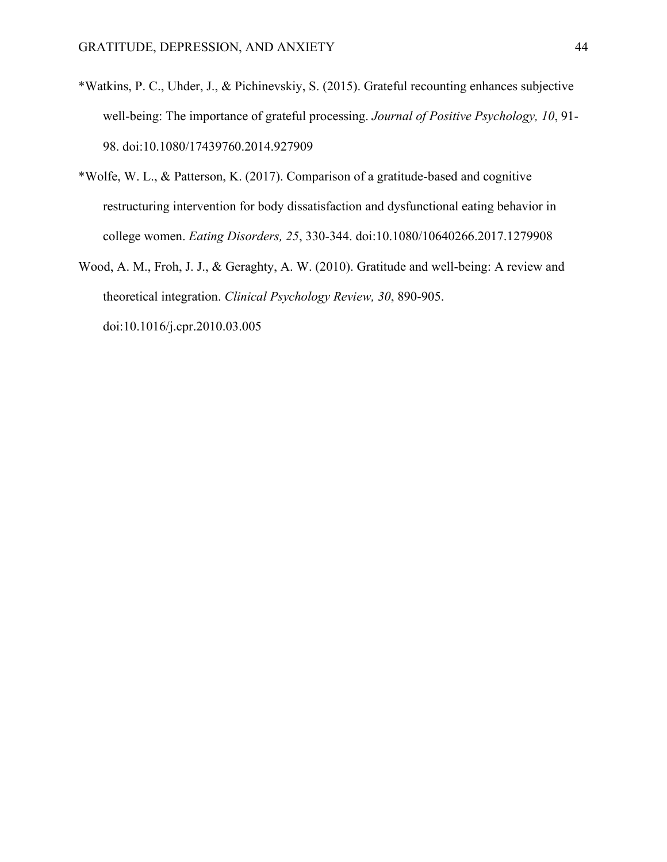- \*Watkins, P. C., Uhder, J., & Pichinevskiy, S. (2015). Grateful recounting enhances subjective well-being: The importance of grateful processing. *Journal of Positive Psychology, 10*, 91- 98. doi:10.1080/17439760.2014.927909
- \*Wolfe, W. L., & Patterson, K. (2017). Comparison of a gratitude-based and cognitive restructuring intervention for body dissatisfaction and dysfunctional eating behavior in college women. *Eating Disorders, 25*, 330-344. doi:10.1080/10640266.2017.1279908
- Wood, A. M., Froh, J. J., & Geraghty, A. W. (2010). Gratitude and well-being: A review and theoretical integration. *Clinical Psychology Review, 30*, 890-905. doi:10.1016/j.cpr.2010.03.005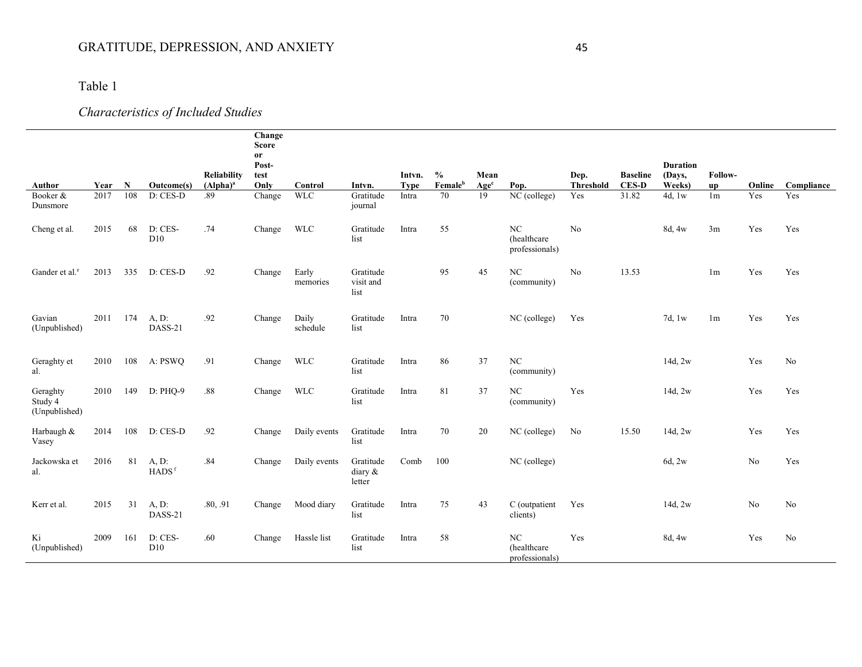## Table 1

# *Characteristics of Included Studies*

|                                      |      |             |                            | <b>Reliability</b> | Change<br><b>Score</b><br>or<br>Post-<br>test |                   |                                | Intvn.      | $\frac{6}{6}$       | Mean             |                                      | Dep.             | <b>Baseline</b> | <b>Duration</b><br>(Days, | Follow-        |        |                |
|--------------------------------------|------|-------------|----------------------------|--------------------|-----------------------------------------------|-------------------|--------------------------------|-------------|---------------------|------------------|--------------------------------------|------------------|-----------------|---------------------------|----------------|--------|----------------|
| Author                               | Year | $\mathbf N$ | Outcome(s)                 | $(Alpha)^a$        | Only                                          | Control           | Intvn.                         | <b>Type</b> | Female <sup>b</sup> | Age <sup>c</sup> | Pop.                                 | <b>Threshold</b> | <b>CES-D</b>    | Weeks)                    | up             | Online | Compliance     |
| Booker &<br>Dunsmore                 | 2017 | 108         | D: CES-D                   | .89                | Change                                        | <b>WLC</b>        | Gratitude<br>journal           | Intra       | 70                  | 19               | $NC$ (college)                       | Yes              | 31.82           | 4d, $1w$                  | 1 <sub>m</sub> | Yes    | Yes            |
| Cheng et al.                         | 2015 | 68          | D: CES-<br>D10             | .74                | Change                                        | <b>WLC</b>        | Gratitude<br>list              | Intra       | 55                  |                  | NC<br>(healthcare)<br>professionals) | No               |                 | 8d, 4w                    | 3m             | Yes    | Yes            |
| Gander et al. <sup>e</sup>           | 2013 | 335         | D: CES-D                   | .92                | Change                                        | Early<br>memories | Gratitude<br>visit and<br>list |             | 95                  | 45               | NC<br>(community)                    | No               | 13.53           |                           | 1 <sub>m</sub> | Yes    | Yes            |
| Gavian<br>(Unpublished)              | 2011 | 174         | A, D:<br>DASS-21           | .92                | Change                                        | Daily<br>schedule | Gratitude<br>list              | Intra       | 70                  |                  | NC (college)                         | Yes              |                 | 7d, 1w                    | 1 <sub>m</sub> | Yes    | Yes            |
| Geraghty et<br>al.                   | 2010 | 108         | A: PSWO                    | .91                | Change                                        | <b>WLC</b>        | Gratitude<br>list              | Intra       | 86                  | 37               | $_{\mathrm{NC}}$<br>(community)      |                  |                 | 14d, 2w                   |                | Yes    | No             |
| Geraghty<br>Study 4<br>(Unpublished) | 2010 | 149         | D: PHO-9                   | .88                | Change                                        | <b>WLC</b>        | Gratitude<br>list              | Intra       | 81                  | 37               | NC<br>(community)                    | Yes              |                 | 14d, 2w                   |                | Yes    | Yes            |
| Harbaugh &<br>Vasey                  | 2014 | 108         | D: CES-D                   | .92                | Change                                        | Daily events      | Gratitude<br>list              | Intra       | 70                  | 20               | NC (college)                         | No               | 15.50           | 14d, 2w                   |                | Yes    | Yes            |
| Jackowska et<br>al.                  | 2016 | 81          | A, D:<br>HADS <sup>f</sup> | .84                | Change                                        | Daily events      | Gratitude<br>diary &<br>letter | Comb        | 100                 |                  | NC (college)                         |                  |                 | 6d, 2w                    |                | No     | Yes            |
| Kerr et al.                          | 2015 | 31          | A, D:<br>DASS-21           | .80, .91           | Change                                        | Mood diary        | Gratitude<br>list              | Intra       | 75                  | 43               | C (outpatient<br>clients)            | Yes              |                 | 14d, 2w                   |                | No     | No             |
| Ki<br>(Unpublished)                  | 2009 | 161         | D: CES-<br>D10             | .60                | Change                                        | Hassle list       | Gratitude<br>list              | Intra       | 58                  |                  | NC<br>(healthcare<br>professionals)  | Yes              |                 | 8d, 4w                    |                | Yes    | N <sub>o</sub> |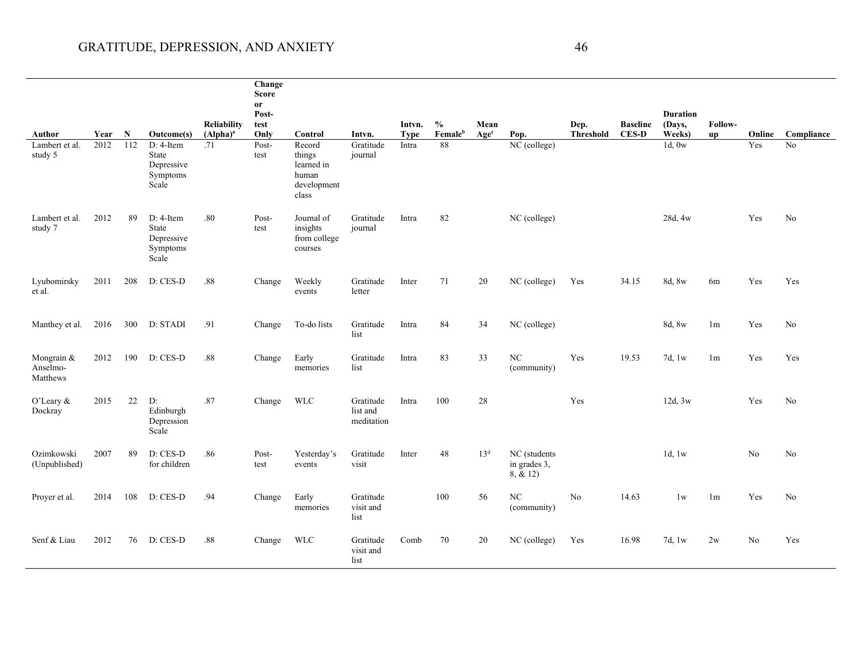|                                    |      |     |                                                              |                    | Change<br><b>Score</b><br>or |                                                                 |                                     |             |                     |                  |                                          |                  |                 |                           |                |                |                |
|------------------------------------|------|-----|--------------------------------------------------------------|--------------------|------------------------------|-----------------------------------------------------------------|-------------------------------------|-------------|---------------------|------------------|------------------------------------------|------------------|-----------------|---------------------------|----------------|----------------|----------------|
|                                    |      |     |                                                              | <b>Reliability</b> | Post-<br>test                |                                                                 |                                     | Intvn.      | $\frac{0}{0}$       | Mean             |                                          | Dep.             | <b>Baseline</b> | <b>Duration</b><br>(Days, | Follow-        |                |                |
| Author                             | Year | N   | Outcome(s)                                                   | $(Alpha)^a$        | Only                         | Control                                                         | Intvn.                              | <b>Type</b> | Female <sup>b</sup> | Age <sup>c</sup> | Pop.                                     | <b>Threshold</b> | <b>CES-D</b>    | Weeks)                    | up             | Online         | Compliance     |
| Lambert et al.<br>study 5          | 2012 | 112 | D: 4-Item<br>State<br>Depressive<br>Symptoms<br>Scale        | .71                | Post-<br>test                | Record<br>things<br>learned in<br>human<br>development<br>class | Gratitude<br>journal                | Intra       | $\overline{\bf 88}$ |                  | $\overline{\text{NC}}$ (college)         |                  |                 | 1d, 0w                    |                | Yes            | $\rm No$       |
| Lambert et al.<br>study 7          | 2012 | 89  | D: 4-Item<br><b>State</b><br>Depressive<br>Symptoms<br>Scale | .80                | Post-<br>test                | Journal of<br>insights<br>from college<br>courses               | Gratitude<br>journal                | Intra       | 82                  |                  | NC (college)                             |                  |                 | 28d, 4w                   |                | Yes            | No             |
| Lyubomirsky<br>et al.              | 2011 | 208 | D: CES-D                                                     | .88                | Change                       | Weekly<br>events                                                | Gratitude<br>letter                 | Inter       | 71                  | 20               | NC (college)                             | Yes              | 34.15           | 8d, 8w                    | 6m             | Yes            | Yes            |
| Manthey et al.                     | 2016 | 300 | D: STADI                                                     | .91                | Change                       | To-do lists                                                     | Gratitude<br>list                   | Intra       | 84                  | 34               | NC (college)                             |                  |                 | 8d, 8w                    | 1 <sub>m</sub> | Yes            | No             |
| Mongrain &<br>Anselmo-<br>Matthews | 2012 | 190 | $D: CES-D$                                                   | .88                | Change                       | Early<br>memories                                               | Gratitude<br>list                   | Intra       | 83                  | 33               | NC<br>(community)                        | Yes              | 19.53           | 7d, 1w                    | 1 <sub>m</sub> | Yes            | Yes            |
| O'Leary &<br>Dockray               | 2015 | 22  | D:<br>Edinburgh<br>Depression<br>Scale                       | .87                | Change                       | <b>WLC</b>                                                      | Gratitude<br>list and<br>meditation | Intra       | 100                 | 28               |                                          | Yes              |                 | 12d, 3w                   |                | Yes            | N <sub>o</sub> |
| Ozimkowski<br>(Unpublished)        | 2007 | 89  | D: CES-D<br>for children                                     | .86                | Post-<br>test                | Yesterday's<br>events                                           | Gratitude<br>visit                  | Inter       | 48                  | 13 <sup>d</sup>  | NC (students<br>in grades 3,<br>8, & 12) |                  |                 | 1d, $1w$                  |                | N <sub>o</sub> | N <sub>o</sub> |
| Proyer et al.                      | 2014 | 108 | D: CES-D                                                     | .94                | Change                       | Early<br>memories                                               | Gratitude<br>visit and<br>list      |             | 100                 | 56               | NC<br>(community)                        | No               | 14.63           | 1w                        | 1 <sub>m</sub> | Yes            | No             |
| Senf & Liau                        | 2012 | 76  | D: CES-D                                                     | .88                | Change                       | <b>WLC</b>                                                      | Gratitude<br>visit and<br>list      | Comb        | 70                  | 20               | NC (college)                             | Yes              | 16.98           | 7d, 1w                    | 2w             | N <sub>o</sub> | Yes            |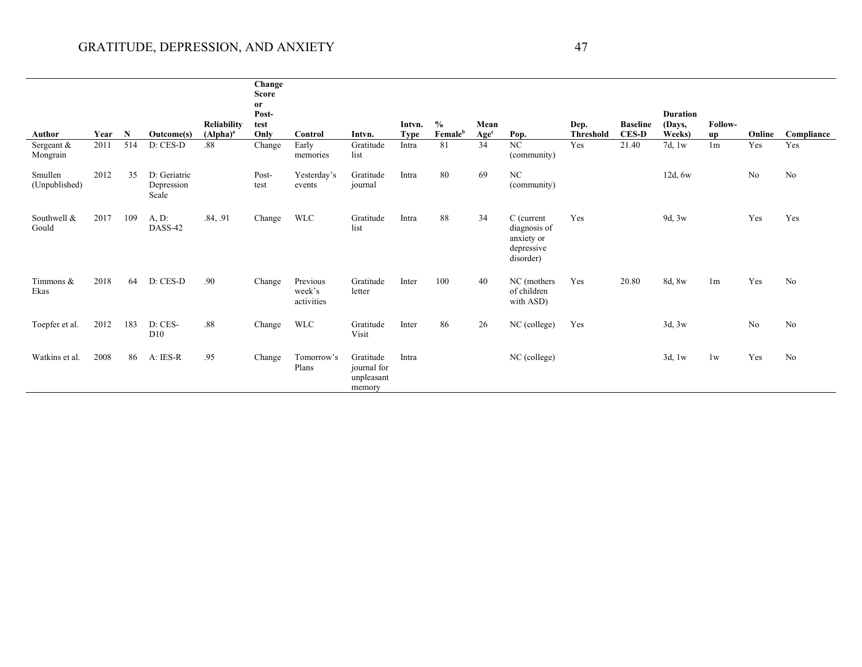|                          |      |     |                                     |                            | Change<br><b>Score</b><br><sub>or</sub> |                                  |                                                  |                       |                                      |                          |                                                                     |                          |                                 |                                     |                |                |                |
|--------------------------|------|-----|-------------------------------------|----------------------------|-----------------------------------------|----------------------------------|--------------------------------------------------|-----------------------|--------------------------------------|--------------------------|---------------------------------------------------------------------|--------------------------|---------------------------------|-------------------------------------|----------------|----------------|----------------|
| Author                   | Year | N   | Outcome(s)                          | Reliability<br>$(Alpha)^a$ | Post-<br>test<br>Only                   | Control                          | Intvn.                                           | Intvn.<br><b>Type</b> | $\frac{0}{0}$<br>Female <sup>b</sup> | Mean<br>Age <sup>c</sup> | Pop.                                                                | Dep.<br><b>Threshold</b> | <b>Baseline</b><br><b>CES-D</b> | <b>Duration</b><br>(Days,<br>Weeks) | Follow-<br>up  | Online         | Compliance     |
| Sergeant &<br>Mongrain   | 2011 | 514 | D: CES-D                            | .88                        | Change                                  | Early<br>memories                | Gratitude<br>list                                | Intra                 | 81                                   | 34                       | NC<br>(community)                                                   | Yes                      | 21.40                           | 7d, 1w                              | 1 <sub>m</sub> | Yes            | Yes            |
| Smullen<br>(Unpublished) | 2012 | 35  | D: Geriatric<br>Depression<br>Scale |                            | Post-<br>test                           | Yesterday's<br>events            | Gratitude<br>journal                             | Intra                 | 80                                   | 69                       | NC<br>(community)                                                   |                          |                                 | 12d, 6w                             |                | N <sub>o</sub> | No             |
| Southwell &<br>Gould     | 2017 | 109 | A, D:<br>DASS-42                    | .84, .91                   | Change                                  | <b>WLC</b>                       | Gratitude<br>list                                | Intra                 | 88                                   | 34                       | C (current<br>diagnosis of<br>anxiety or<br>depressive<br>disorder) | Yes                      |                                 | 9d, 3w                              |                | Yes            | Yes            |
| Timmons &<br>Ekas        | 2018 | 64  | D: CES-D                            | .90                        | Change                                  | Previous<br>week's<br>activities | Gratitude<br>letter                              | Inter                 | 100                                  | 40                       | NC (mothers<br>of children<br>with ASD)                             | Yes                      | 20.80                           | 8d, 8w                              | 1 <sub>m</sub> | Yes            | N <sub>o</sub> |
| Toepfer et al.           | 2012 | 183 | D: CES-<br>D10                      | .88                        | Change                                  | <b>WLC</b>                       | Gratitude<br>Visit                               | Inter                 | 86                                   | 26                       | NC (college)                                                        | Yes                      |                                 | 3d, 3w                              |                | No             | No             |
| Watkins et al.           | 2008 | 86  | A: IES-R                            | .95                        | Change                                  | Tomorrow's<br>Plans              | Gratitude<br>journal for<br>unpleasant<br>memory | Intra                 |                                      |                          | NC (college)                                                        |                          |                                 | 3d, 1w                              | 1w             | Yes            | N <sub>o</sub> |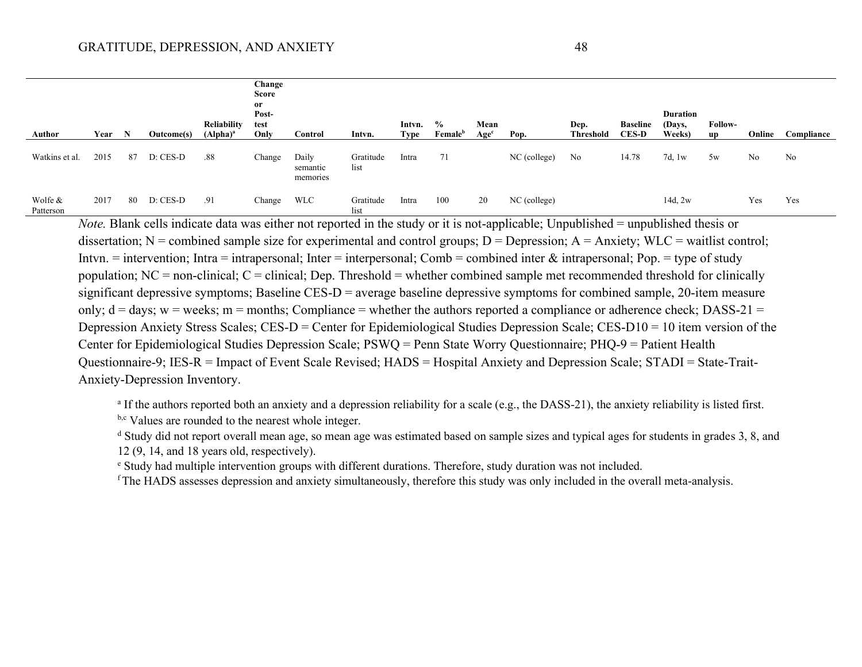| Author               | Year | N  | Outcome(s) | <b>Reliability</b><br>$(Alpha)^a$ | Change<br>Score<br><sub>or</sub><br>Post-<br>test<br>Only | Control                       | Intvn.            | Intvn.<br>Type | $\%$<br>Female <sup>b</sup> | Mean<br>Age <sup>c</sup> | Pop.         | Dep.<br>Threshold | <b>Baseline</b><br><b>CES-D</b> | <b>Duration</b><br>(Days,<br>Weeks) | <b>Follow-</b><br><b>up</b> | Online | Compliance |
|----------------------|------|----|------------|-----------------------------------|-----------------------------------------------------------|-------------------------------|-------------------|----------------|-----------------------------|--------------------------|--------------|-------------------|---------------------------------|-------------------------------------|-----------------------------|--------|------------|
| Watkins et al.       | 2015 | 87 | D: CES-D   | .88                               | Change                                                    | Daily<br>semantic<br>memories | Gratitude<br>list | Intra          | 71                          |                          | NC (college) | No                | 14.78                           | 7d, $1w$                            | 5w                          | No     | No         |
| Wolfe &<br>Patterson | 2017 | 80 | D: CES-D   | .91                               | Change                                                    | <b>WLC</b>                    | Gratitude<br>list | Intra          | 100                         | 20                       | NC (college) |                   |                                 | $14d$ , $2w$                        |                             | Yes    | Yes        |

*Note.* Blank cells indicate data was either not reported in the study or it is not-applicable; Unpublished = unpublished thesis or dissertation; N = combined sample size for experimental and control groups; D = Depression; A = Anxiety; WLC = waitlist control; Intvn. = intervention; Intra = intrapersonal; Inter = interpersonal; Comb = combined inter  $\&$  intrapersonal; Pop. = type of study population;  $NC = non-clinical$ ;  $C = clinical$ ; Dep. Threshold = whether combined sample met recommended threshold for clinically significant depressive symptoms; Baseline CES-D = average baseline depressive symptoms for combined sample, 20-item measure only;  $d = days$ ;  $w = weeks$ ;  $m = months$ ; Compliance = whether the authors reported a compliance or adherence check; DASS-21 = Depression Anxiety Stress Scales; CES-D = Center for Epidemiological Studies Depression Scale; CES-D10 = 10 item version of the Center for Epidemiological Studies Depression Scale; PSWQ = Penn State Worry Questionnaire; PHQ-9 = Patient Health Questionnaire-9; IES-R = Impact of Event Scale Revised; HADS = Hospital Anxiety and Depression Scale; STADI = State-Trait-Anxiety-Depression Inventory.

<sup>a</sup> If the authors reported both an anxiety and a depression reliability for a scale (e.g., the DASS-21), the anxiety reliability is listed first. b,c Values are rounded to the nearest whole integer.

<sup>d</sup> Study did not report overall mean age, so mean age was estimated based on sample sizes and typical ages for students in grades 3, 8, and 12 (9, 14, and 18 years old, respectively).

<sup>e</sup> Study had multiple intervention groups with different durations. Therefore, study duration was not included.

<sup>f</sup> The HADS assesses depression and anxiety simultaneously, therefore this study was only included in the overall meta-analysis.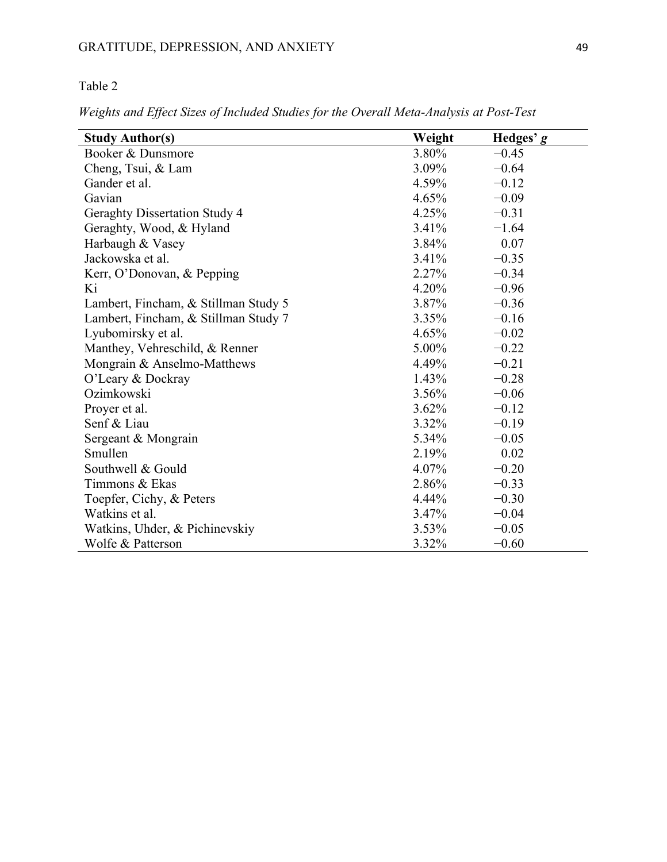### Table 2

*Weights and Effect Sizes of Included Studies for the Overall Meta-Analysis at Post-Test*

| <b>Study Author(s)</b>               | Weight   | Hedges' g |
|--------------------------------------|----------|-----------|
| Booker & Dunsmore                    | 3.80%    | $-0.45$   |
| Cheng, Tsui, & Lam                   | 3.09%    | $-0.64$   |
| Gander et al.                        | 4.59%    | $-0.12$   |
| Gavian                               | 4.65%    | $-0.09$   |
| <b>Geraghty Dissertation Study 4</b> | 4.25%    | $-0.31$   |
| Geraghty, Wood, & Hyland             | $3.41\%$ | $-1.64$   |
| Harbaugh & Vasey                     | 3.84%    | 0.07      |
| Jackowska et al.                     | $3.41\%$ | $-0.35$   |
| Kerr, O'Donovan, & Pepping           | $2.27\%$ | $-0.34$   |
| Ki                                   | $4.20\%$ | $-0.96$   |
| Lambert, Fincham, & Stillman Study 5 | $3.87\%$ | $-0.36$   |
| Lambert, Fincham, & Stillman Study 7 | $3.35\%$ | $-0.16$   |
| Lyubomirsky et al.                   | $4.65\%$ | $-0.02$   |
| Manthey, Vehreschild, & Renner       | $5.00\%$ | $-0.22$   |
| Mongrain & Anselmo-Matthews          | 4.49%    | $-0.21$   |
| O'Leary & Dockray                    | $1.43\%$ | $-0.28$   |
| Ozimkowski                           | $3.56\%$ | $-0.06$   |
| Proyer et al.                        | $3.62\%$ | $-0.12$   |
| Senf & Liau                          | $3.32\%$ | $-0.19$   |
| Sergeant & Mongrain                  | 5.34%    | $-0.05$   |
| Smullen                              | 2.19%    | 0.02      |
| Southwell & Gould                    | $4.07\%$ | $-0.20$   |
| Timmons & Ekas                       | 2.86%    | $-0.33$   |
| Toepfer, Cichy, & Peters             | 4.44%    | $-0.30$   |
| Watkins et al.                       | $3.47\%$ | $-0.04$   |
| Watkins, Uhder, & Pichinevskiy       | $3.53\%$ | $-0.05$   |
| Wolfe & Patterson                    | 3.32%    | $-0.60$   |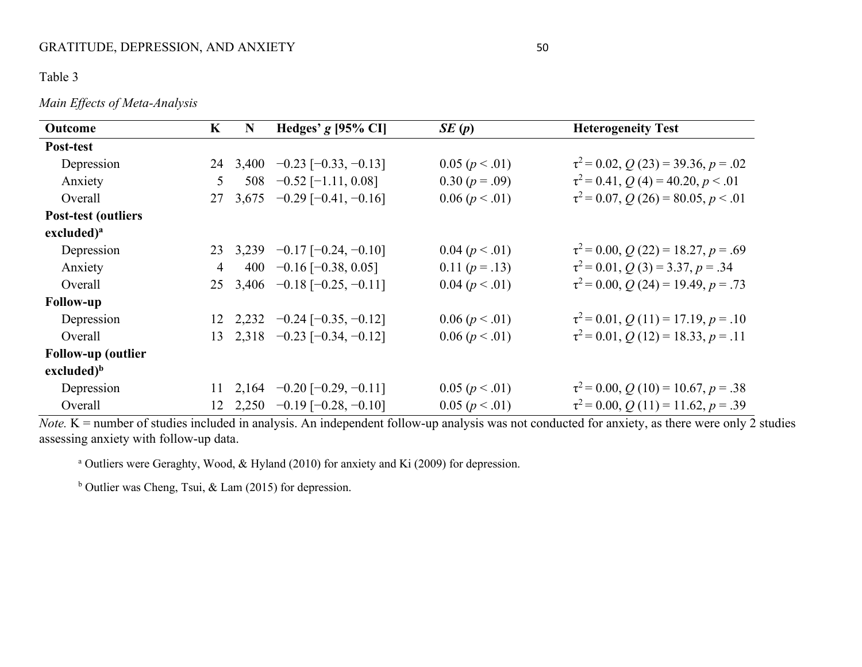#### Table 3

#### *Main Effects of Meta-Analysis*

| Outcome                    | K              | N        | Hedges' $g$ [95% CI]                   | SE(p)          | <b>Heterogeneity Test</b>                |
|----------------------------|----------------|----------|----------------------------------------|----------------|------------------------------------------|
| Post-test                  |                |          |                                        |                |                                          |
| Depression                 |                | 24 3,400 | $-0.23$ [ $-0.33$ , $-0.13$ ]          | 0.05 (p < .01) | $\tau^2$ = 0.02, Q (23) = 39.36, p = .02 |
| Anxiety                    | 5 <sup>5</sup> |          | 508 $-0.52$ [-1.11, 0.08]              | $0.30 (p=.09)$ | $\tau^2$ = 0.41, Q (4) = 40.20, p < .01  |
| Overall                    |                |          | 27 3,675 $-0.29$ [ $-0.41$ , $-0.16$ ] | 0.06 (p < .01) | $\tau^2$ = 0.07, Q (26) = 80.05, p < .01 |
| <b>Post-test (outliers</b> |                |          |                                        |                |                                          |
| excluded) <sup>a</sup>     |                |          |                                        |                |                                          |
| Depression                 |                |          | 23 3,239 $-0.17$ $[-0.24, -0.10]$      | 0.04 (p < .01) | $\tau^2$ = 0.00, Q (22) = 18.27, p = .69 |
| Anxiety                    | $\overline{4}$ |          | 400 -0.16 [ $-0.38, 0.05$ ]            | 0.11 $(p=.13)$ | $\tau^2 = 0.01, Q(3) = 3.37, p = .34$    |
| Overall                    |                |          | 25 3,406 $-0.18$ $[-0.25, -0.11]$      | 0.04 (p < .01) | $\tau^2$ = 0.00, Q (24) = 19.49, p = .73 |
| <b>Follow-up</b>           |                |          |                                        |                |                                          |
| Depression                 |                |          | 12 2,232 $-0.24$ $[-0.35, -0.12]$      | 0.06 (p < .01) | $\tau^2$ = 0.01, Q (11) = 17.19, p = .10 |
| Overall                    |                |          | 13 2,318 $-0.23$ $[-0.34, -0.12]$      | 0.06 (p < .01) | $\tau^2$ = 0.01, Q (12) = 18.33, p = .11 |
| <b>Follow-up (outlier</b>  |                |          |                                        |                |                                          |
| excluded) <sup>b</sup>     |                |          |                                        |                |                                          |
| Depression                 |                |          | 11 2,164 $-0.20$ $[-0.29, -0.11]$      | 0.05 (p < .01) | $\tau^2$ = 0.00, Q (10) = 10.67, p = .38 |
| Overall                    |                |          | 12 2,250 $-0.19$ $[-0.28, -0.10]$      | 0.05 (p < .01) | $\tau^2$ = 0.00, Q (11) = 11.62, p = .39 |

*Note.*  $K$  = number of studies included in analysis. An independent follow-up analysis was not conducted for anxiety, as there were only  $\overline{2}$  studies assessing anxiety with follow-up data.

<sup>a</sup> Outliers were Geraghty, Wood, & Hyland (2010) for anxiety and Ki (2009) for depression.

<sup>b</sup> Outlier was Cheng, Tsui, & Lam (2015) for depression.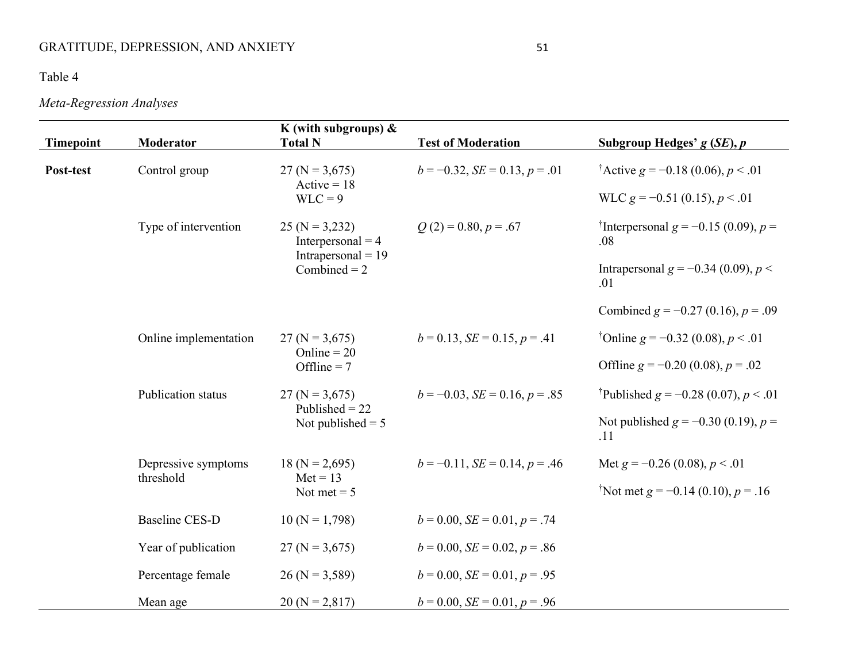## GRATITUDE, DEPRESSION, AND ANXIETY 51

## Table 4

# *Meta-Regression Analyses*

| <b>Timepoint</b> | <b>Moderator</b>      | K (with subgroups) $\&$<br><b>Total N</b> | <b>Test of Moderation</b>             | Subgroup Hedges' $g(SE)$ , $p$                              |
|------------------|-----------------------|-------------------------------------------|---------------------------------------|-------------------------------------------------------------|
| Post-test        | Control group         | $27 (N = 3,675)$                          | $b = -0.32$ , $SE = 0.13$ , $p = .01$ | <sup>†</sup> Active $g = -0.18$ (0.06), $p < .01$           |
|                  |                       | Active = $18$<br>$WLC = 9$                |                                       | WLC $g = -0.51$ (0.15), $p < .01$                           |
|                  | Type of intervention  | $25 (N = 3,232)$<br>Interpersonal $=$ 4   | $Q(2) = 0.80, p = .67$                | <sup>†</sup> Interpersonal $g = -0.15$ (0.09), $p =$<br>.08 |
|                  |                       | Intrapersonal $= 19$<br>Combined $= 2$    |                                       | Intrapersonal $g = -0.34$ (0.09), $p <$<br>.01              |
|                  |                       |                                           |                                       | Combined $g = -0.27$ (0.16), $p = .09$                      |
|                  | Online implementation | $27 (N = 3,675)$<br>Online = $20$         | $b = 0.13$ , $SE = 0.15$ , $p = .41$  | <sup>†</sup> Online g = -0.32 (0.08), $p < .01$             |
|                  |                       | Offline = $7$                             |                                       | Offline $g = -0.20$ (0.08), $p = .02$                       |
|                  | Publication status    | $27 (N = 3,675)$<br>Published $= 22$      | $b = -0.03$ , $SE = 0.16$ , $p = .85$ | <sup>†</sup> Published $g = -0.28$ (0.07), $p < .01$        |
|                  |                       | Not published $= 5$                       |                                       | Not published $g = -0.30$ (0.19), $p =$<br>.11              |
|                  | Depressive symptoms   | $18 (N = 2,695)$                          | $b = -0.11$ , $SE = 0.14$ , $p = .46$ | Met $g = -0.26$ (0.08), $p < .01$                           |
|                  | threshold             | $Met = 13$<br>Not met $= 5$               |                                       | <sup>†</sup> Not met g = -0.14 (0.10), p = .16              |
|                  | <b>Baseline CES-D</b> | $10(N = 1,798)$                           | $b = 0.00$ , $SE = 0.01$ , $p = .74$  |                                                             |
|                  | Year of publication   | $27 (N = 3,675)$                          | $b = 0.00$ , $SE = 0.02$ , $p = .86$  |                                                             |
|                  | Percentage female     | $26 (N = 3,589)$                          | $b = 0.00$ , $SE = 0.01$ , $p = .95$  |                                                             |
|                  | Mean age              | $20 (N = 2,817)$                          | $b = 0.00$ , $SE = 0.01$ , $p = .96$  |                                                             |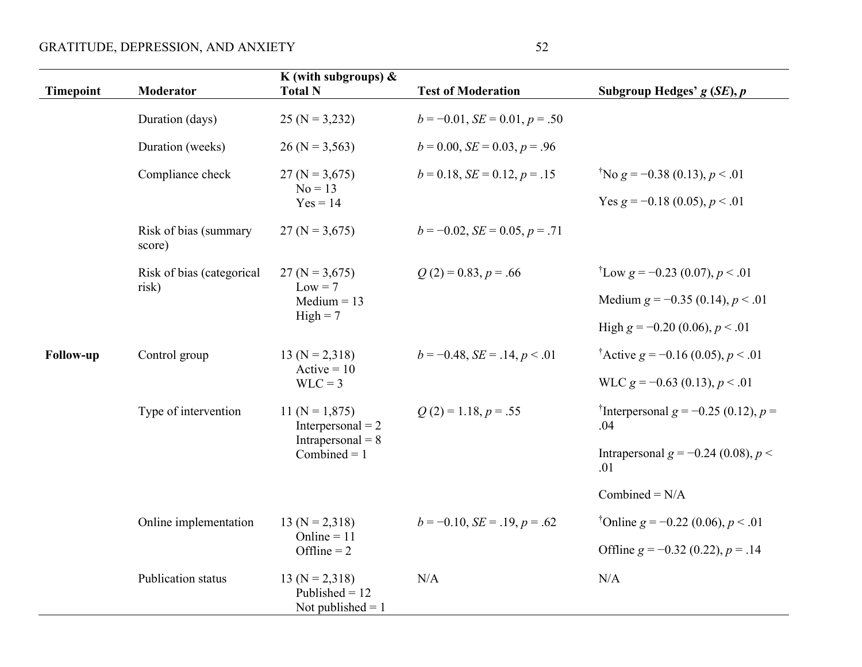# GRATITUDE, DEPRESSION, AND ANXIETY 52

| <b>Timepoint</b> | Moderator                       | K (with subgroups) $\&$<br><b>Total N</b>                   | <b>Test of Moderation</b>             | Subgroup Hedges' $g(SE)$ , $p$                          |
|------------------|---------------------------------|-------------------------------------------------------------|---------------------------------------|---------------------------------------------------------|
|                  | Duration (days)                 | $25 (N = 3,232)$                                            | $b = -0.01$ , $SE = 0.01$ , $p = .50$ |                                                         |
|                  | Duration (weeks)                | $26 (N = 3,563)$                                            | $b = 0.00$ , $SE = 0.03$ , $p = .96$  |                                                         |
|                  | Compliance check                | $27 (N = 3,675)$                                            | $b = 0.18$ , $SE = 0.12$ , $p = .15$  | <sup>†</sup> No g = -0.38 (0.13), p < .01               |
|                  |                                 | $No = 13$<br>$Yes = 14$                                     |                                       | Yes $g = -0.18$ (0.05), $p < .01$                       |
|                  | Risk of bias (summary<br>score) | $27 (N = 3,675)$                                            | $b = -0.02$ , $SE = 0.05$ , $p = .71$ |                                                         |
|                  | Risk of bias (categorical       | $27 (N = 3,675)$                                            | $Q(2) = 0.83, p = .66$                | <sup>†</sup> Low $g = -0.23$ (0.07), $p < .01$          |
|                  | risk)                           | $Low = 7$<br>Medium $= 13$                                  |                                       | Medium $g = -0.35$ (0.14), $p < .01$                    |
|                  |                                 | $High = 7$                                                  |                                       | High $g = -0.20$ (0.06), $p < .01$                      |
| <b>Follow-up</b> | Control group                   | $13 (N = 2,318)$                                            | $b = -0.48$ , $SE = .14$ , $p < .01$  | <sup>†</sup> Active g = -0.16 (0.05), $p < .01$         |
|                  |                                 | $Active = 10$<br>$WLC = 3$                                  |                                       | WLC $g = -0.63$ (0.13), $p < .01$                       |
|                  | Type of intervention            | 11 ( $N = 1,875$ )<br>Interpersonal $= 2$                   | $Q(2) = 1.18, p = .55$                | <sup>†</sup> Interpersonal g = -0.25 (0.12), p =<br>.04 |
|                  |                                 | Intrapersonal = $8$<br>Combined $= 1$                       |                                       | Intrapersonal $g = -0.24$ (0.08), $p <$<br>.01          |
|                  |                                 |                                                             |                                       | Combined = $N/A$                                        |
|                  | Online implementation           | $13 (N = 2,318)$                                            | $b = -0.10$ , $SE = .19$ , $p = .62$  | <sup>†</sup> Online g = -0.22 (0.06), $p < .01$         |
|                  |                                 | Online = $11$<br>Offline $= 2$                              |                                       | Offline $g = -0.32$ (0.22), $p = .14$                   |
|                  | Publication status              | $13 (N = 2,318)$<br>Published $= 12$<br>Not published $= 1$ | N/A                                   | N/A                                                     |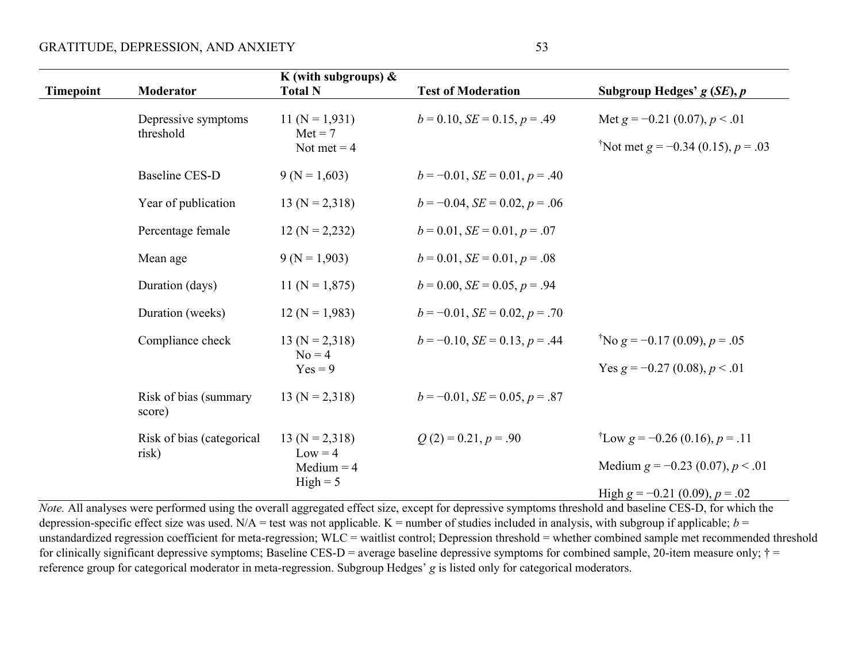| <b>Timepoint</b> | Moderator                        | K (with subgroups) $\&$<br><b>Total N</b>      | <b>Test of Moderation</b>             | Subgroup Hedges' $g(SE)$ , $p$                                                      |
|------------------|----------------------------------|------------------------------------------------|---------------------------------------|-------------------------------------------------------------------------------------|
|                  | Depressive symptoms<br>threshold | $11 (N = 1,931)$<br>$Met = 7$<br>Not met $= 4$ | $b = 0.10$ , $SE = 0.15$ , $p = .49$  | Met $g = -0.21$ (0.07), $p < .01$<br><sup>†</sup> Not met g = -0.34 (0.15), p = .03 |
|                  | <b>Baseline CES-D</b>            | $9(N = 1,603)$                                 | $b = -0.01$ , $SE = 0.01$ , $p = .40$ |                                                                                     |
|                  | Year of publication              | $13 (N = 2,318)$                               | $b = -0.04$ , $SE = 0.02$ , $p = .06$ |                                                                                     |
|                  | Percentage female                | $12 (N = 2,232)$                               | $b = 0.01$ , $SE = 0.01$ , $p = .07$  |                                                                                     |
|                  | Mean age                         | $9(N = 1,903)$                                 | $b = 0.01$ , $SE = 0.01$ , $p = .08$  |                                                                                     |
|                  | Duration (days)                  | 11 ( $N = 1,875$ )                             | $b = 0.00$ , $SE = 0.05$ , $p = .94$  |                                                                                     |
|                  | Duration (weeks)                 | $12 (N = 1,983)$                               | $b = -0.01$ , $SE = 0.02$ , $p = .70$ |                                                                                     |
|                  | Compliance check                 | $13 (N = 2,318)$<br>$No = 4$                   | $b = -0.10$ , $SE = 0.13$ , $p = .44$ | <sup>†</sup> No g = -0.17 (0.09), p = .05                                           |
|                  |                                  | $Yes = 9$                                      |                                       | Yes $g = -0.27$ (0.08), $p < .01$                                                   |
|                  | Risk of bias (summary<br>score)  | $13 (N = 2,318)$                               | $b = -0.01$ , $SE = 0.05$ , $p = .87$ |                                                                                     |
|                  | Risk of bias (categorical        | $13 (N = 2,318)$                               | $Q(2) = 0.21, p = .90$                | <sup>†</sup> Low g = -0.26 (0.16), p = .11                                          |
|                  | risk)                            | $Low = 4$<br>Medium $=$ 4                      |                                       | Medium $g = -0.23$ (0.07), $p < .01$                                                |
|                  |                                  | $High = 5$                                     |                                       | High $g = -0.21$ (0.09), $p = .02$                                                  |

*Note.* All analyses were performed using the overall aggregated effect size, except for depressive symptoms threshold and baseline CES-D, for which the depression-specific effect size was used. N/A = test was not applicable. K = number of studies included in analysis, with subgroup if applicable;  $b =$ unstandardized regression coefficient for meta-regression; WLC = waitlist control; Depression threshold = whether combined sample met recommended threshold for clinically significant depressive symptoms; Baseline CES-D = average baseline depressive symptoms for combined sample, 20-item measure only;  $\dagger$  = reference group for categorical moderator in meta-regression. Subgroup Hedges' *g* is listed only for categorical moderators.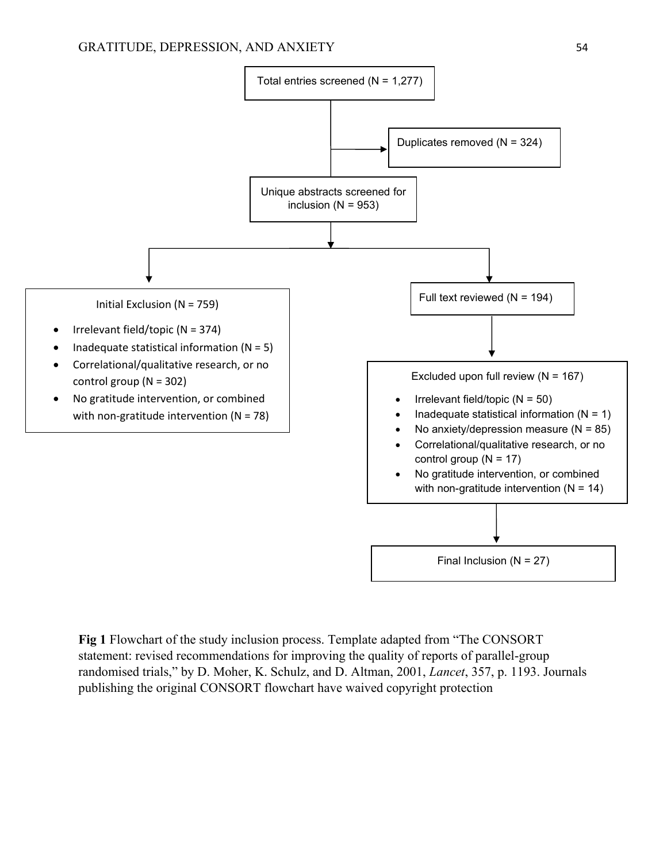

**Fig 1** Flowchart of the study inclusion process. Template adapted from "The CONSORT statement: revised recommendations for improving the quality of reports of parallel-group randomised trials," by D. Moher, K. Schulz, and D. Altman, 2001, *Lancet*, 357, p. 1193. Journals publishing the original CONSORT flowchart have waived copyright protection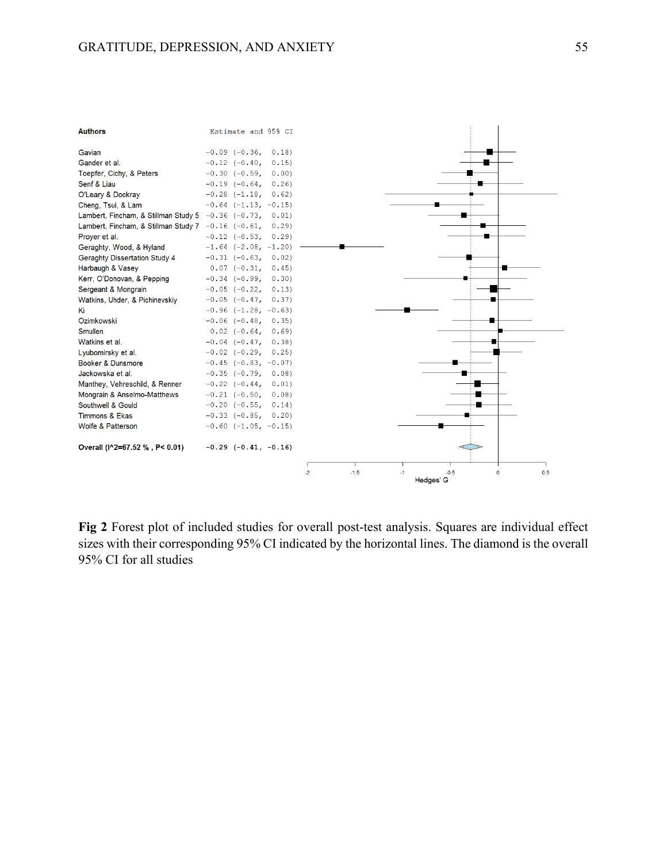

**Fig 2** Forest plot of included studies for overall post-test analysis. Squares are individual effect sizes with their corresponding 95% CI indicated by the horizontal lines. The diamond is the overall 95% CI for all studies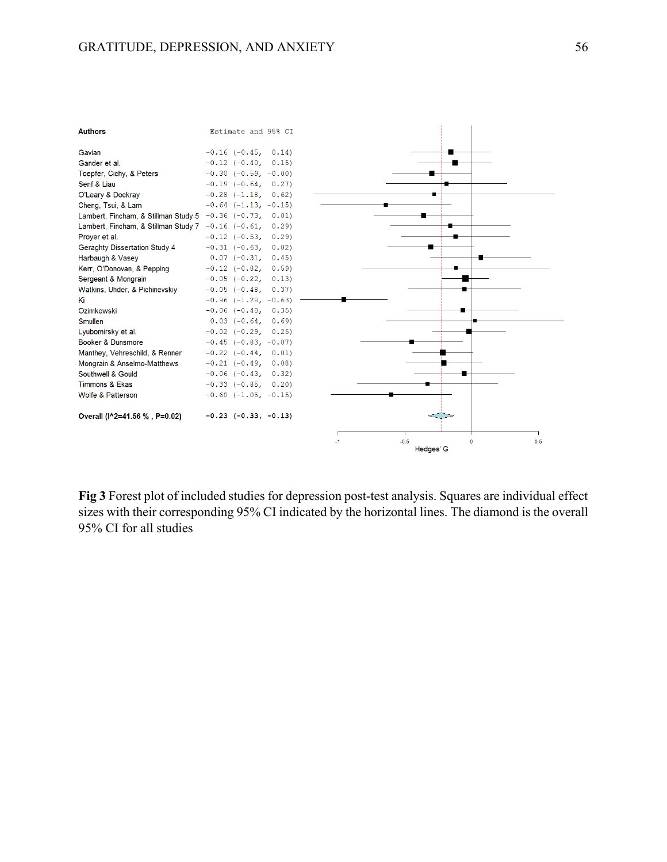

**Fig 3** Forest plot of included studies for depression post-test analysis. Squares are individual effect sizes with their corresponding 95% CI indicated by the horizontal lines. The diamond is the overall 95% CI for all studies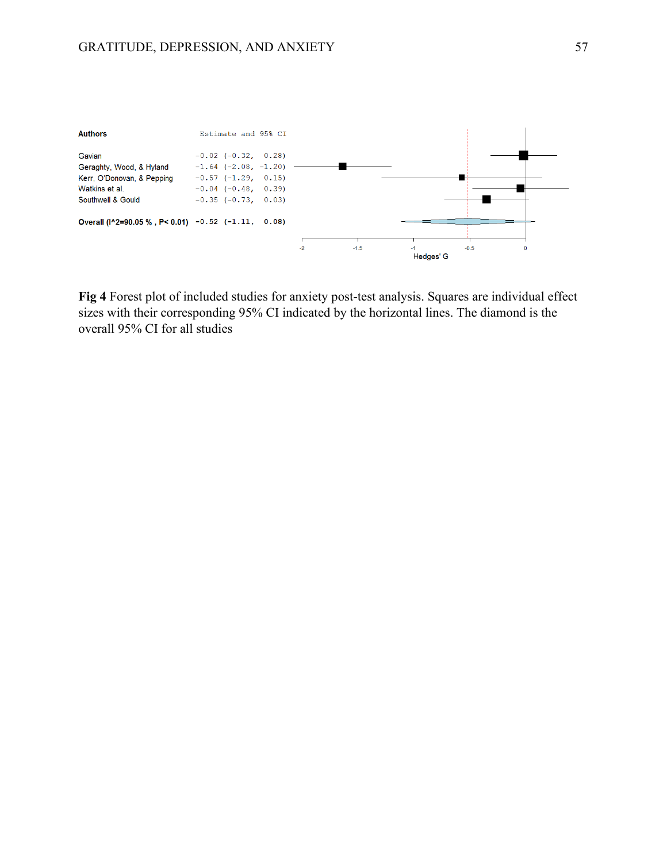

**Fig 4** Forest plot of included studies for anxiety post-test analysis. Squares are individual effect sizes with their corresponding 95% CI indicated by the horizontal lines. The diamond is the overall 95% CI for all studies